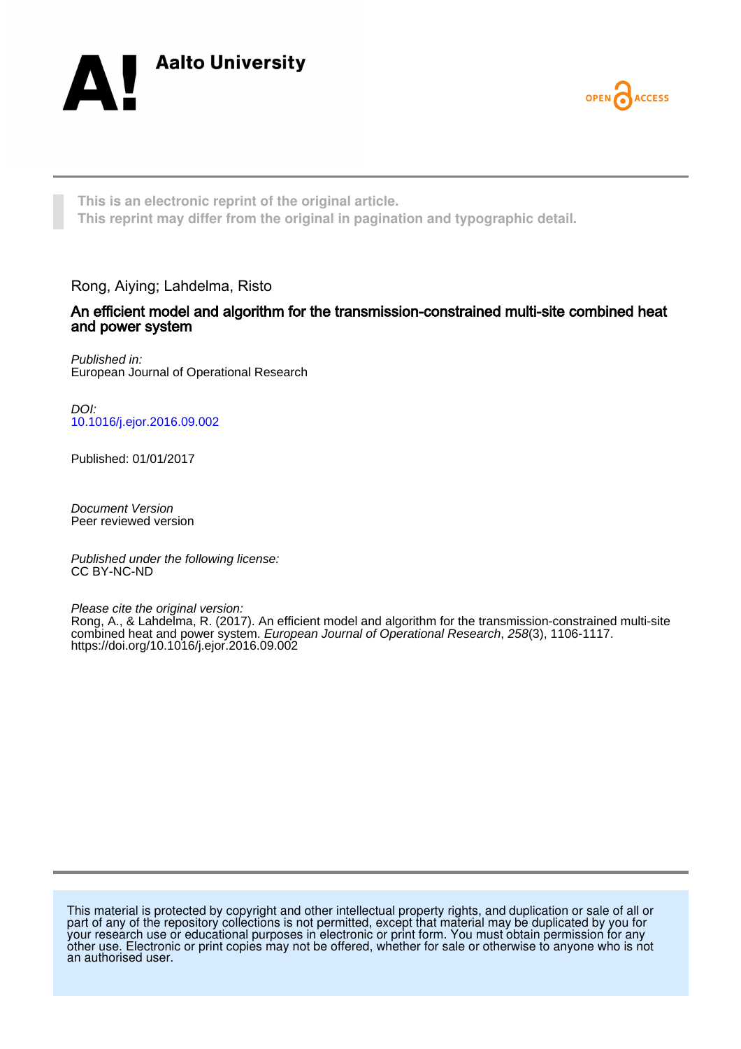



**This is an electronic reprint of the original article. This reprint may differ from the original in pagination and typographic detail.**

Rong, Aiying; Lahdelma, Risto

## An efficient model and algorithm for the transmission-constrained multi-site combined heat and power system

Published in: European Journal of Operational Research

DOI: [10.1016/j.ejor.2016.09.002](https://doi.org/10.1016/j.ejor.2016.09.002)

Published: 01/01/2017

Document Version Peer reviewed version

Published under the following license: CC BY-NC-ND

Please cite the original version:

Rong, A., & Lahdelma, R. (2017). An efficient model and algorithm for the transmission-constrained multi-site combined heat and power system. European Journal of Operational Research, 258(3), 1106-1117. <https://doi.org/10.1016/j.ejor.2016.09.002>

This material is protected by copyright and other intellectual property rights, and duplication or sale of all or part of any of the repository collections is not permitted, except that material may be duplicated by you for your research use or educational purposes in electronic or print form. You must obtain permission for any other use. Electronic or print copies may not be offered, whether for sale or otherwise to anyone who is not an authorised user.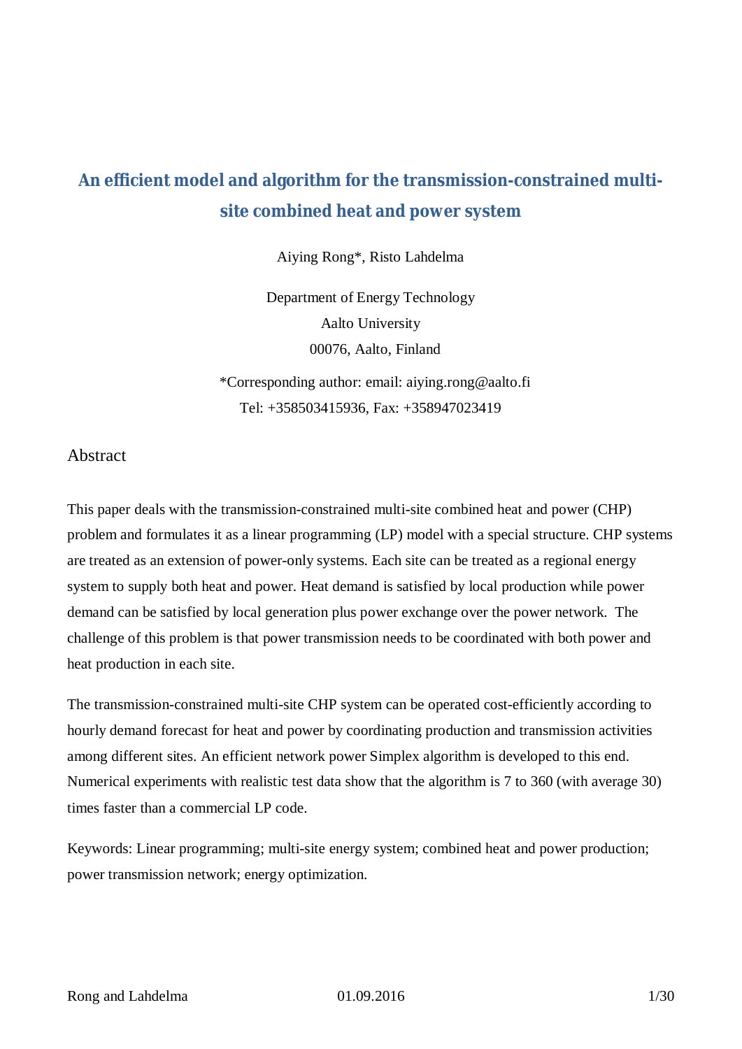# **An efficient model and algorithm for the transmission-constrained multisite combined heat and power system**

Aiying Rong\*, Risto Lahdelma

Department of Energy Technology Aalto University 00076, Aalto, Finland

\*Corresponding author: email: aiying.rong@aalto.fi Tel: +358503415936, Fax: +358947023419

## Abstract

This paper deals with the transmission-constrained multi-site combined heat and power (CHP) problem and formulates it as a linear programming (LP) model with a special structure. CHP systems are treated as an extension of power-only systems. Each site can be treated as a regional energy system to supply both heat and power. Heat demand is satisfied by local production while power demand can be satisfied by local generation plus power exchange over the power network. The challenge of this problem is that power transmission needs to be coordinated with both power and heat production in each site.

The transmission-constrained multi-site CHP system can be operated cost-efficiently according to hourly demand forecast for heat and power by coordinating production and transmission activities among different sites. An efficient network power Simplex algorithm is developed to this end. Numerical experiments with realistic test data show that the algorithm is 7 to 360 (with average 30) times faster than a commercial LP code.

Keywords: Linear programming; multi-site energy system; combined heat and power production; power transmission network; energy optimization.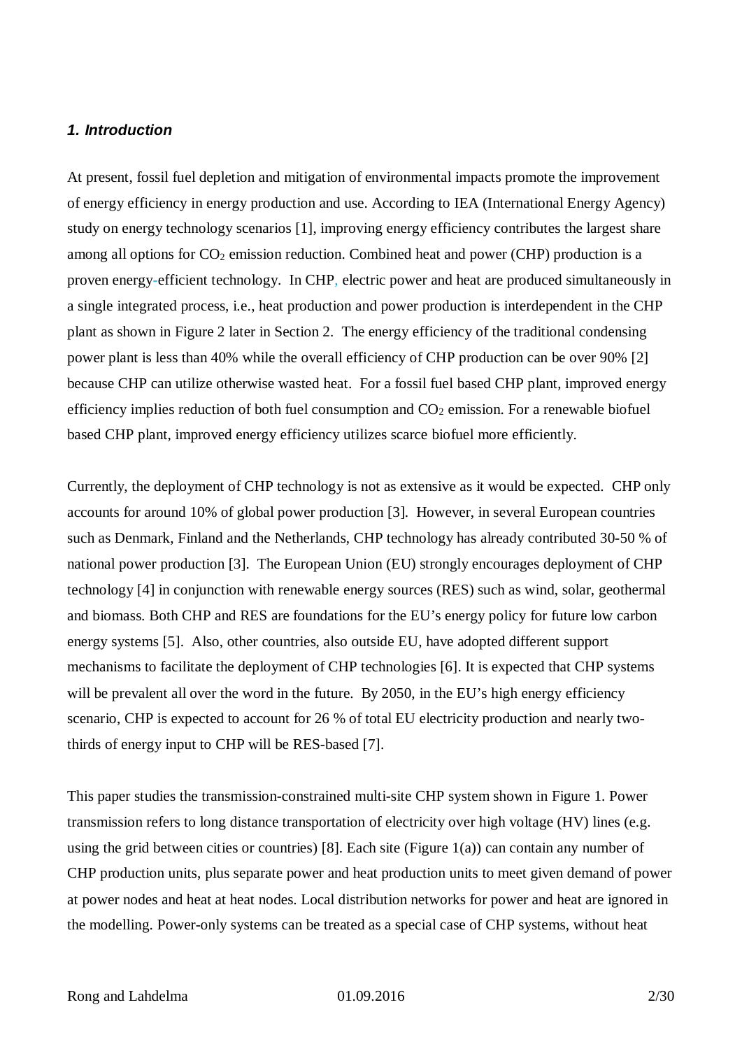#### *1. Introduction*

At present, fossil fuel depletion and mitigation of environmental impacts promote the improvement of energy efficiency in energy production and use. According to IEA (International Energy Agency) study on energy technology scenarios [1], improving energy efficiency contributes the largest share among all options for  $CO<sub>2</sub>$  emission reduction. Combined heat and power (CHP) production is a proven energy-efficient technology. In CHP, electric power and heat are produced simultaneously in a single integrated process, i.e., heat production and power production is interdependent in the CHP plant as shown in Figure 2 later in Section 2. The energy efficiency of the traditional condensing power plant is less than 40% while the overall efficiency of CHP production can be over 90% [2] because CHP can utilize otherwise wasted heat. For a fossil fuel based CHP plant, improved energy efficiency implies reduction of both fuel consumption and  $CO<sub>2</sub>$  emission. For a renewable biofuel based CHP plant, improved energy efficiency utilizes scarce biofuel more efficiently.

Currently, the deployment of CHP technology is not as extensive as it would be expected. CHP only accounts for around 10% of global power production [3]. However, in several European countries such as Denmark, Finland and the Netherlands, CHP technology has already contributed 30-50 % of national power production [3]. The European Union (EU) strongly encourages deployment of CHP technology [4] in conjunction with renewable energy sources (RES) such as wind, solar, geothermal and biomass. Both CHP and RES are foundations for the EU's energy policy for future low carbon energy systems [5]. Also, other countries, also outside EU, have adopted different support mechanisms to facilitate the deployment of CHP technologies [6]. It is expected that CHP systems will be prevalent all over the word in the future. By 2050, in the EU's high energy efficiency scenario, CHP is expected to account for 26 % of total EU electricity production and nearly twothirds of energy input to CHP will be RES-based [7].

This paper studies the transmission-constrained multi-site CHP system shown in Figure 1. Power transmission refers to long distance transportation of electricity over high voltage (HV) lines (e.g. using the grid between cities or countries) [8]. Each site (Figure  $1(a)$ ) can contain any number of CHP production units, plus separate power and heat production units to meet given demand of power at power nodes and heat at heat nodes. Local distribution networks for power and heat are ignored in the modelling. Power-only systems can be treated as a special case of CHP systems, without heat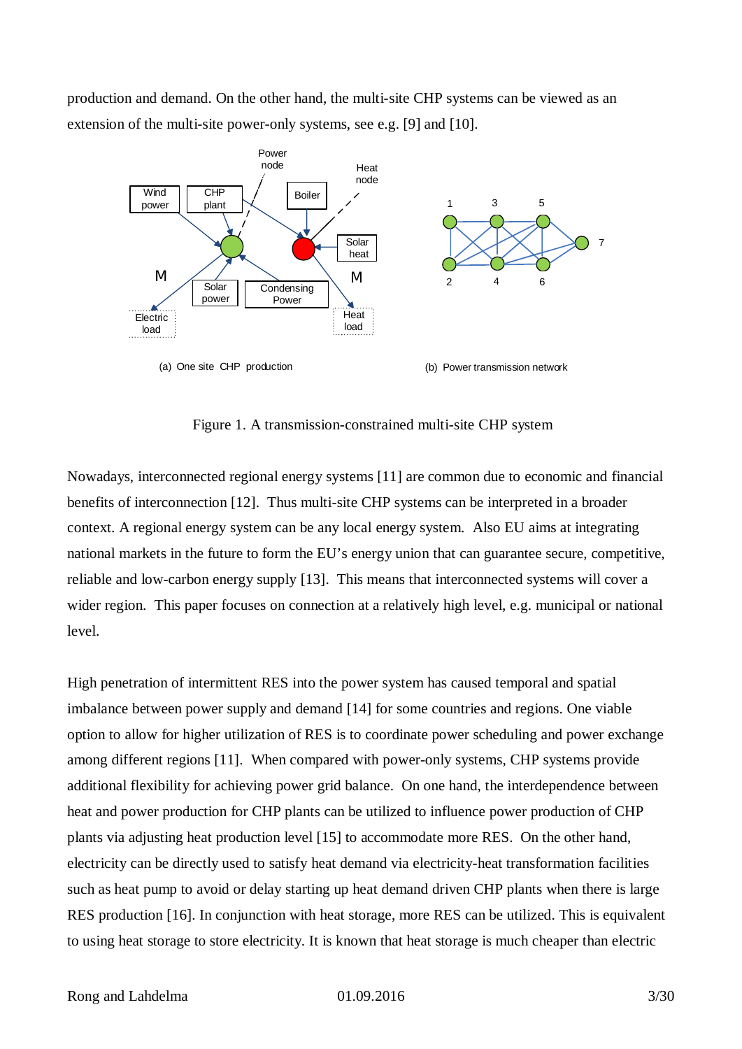production and demand. On the other hand, the multi-site CHP systems can be viewed as an extension of the multi-site power-only systems, see e.g. [9] and [10].



Figure 1. A transmission-constrained multi-site CHP system

Nowadays, interconnected regional energy systems [11] are common due to economic and financial benefits of interconnection [12]. Thus multi-site CHP systems can be interpreted in a broader context. A regional energy system can be any local energy system. Also EU aims at integrating national markets in the future to form the EU's energy union that can guarantee secure, competitive, reliable and low-carbon energy supply [13]. This means that interconnected systems will cover a wider region. This paper focuses on connection at a relatively high level, e.g. municipal or national level.

High penetration of intermittent RES into the power system has caused temporal and spatial imbalance between power supply and demand [14] for some countries and regions. One viable option to allow for higher utilization of RES is to coordinate power scheduling and power exchange among different regions [11]. When compared with power-only systems, CHP systems provide additional flexibility for achieving power grid balance. On one hand, the interdependence between heat and power production for CHP plants can be utilized to influence power production of CHP plants via adjusting heat production level [15] to accommodate more RES. On the other hand, electricity can be directly used to satisfy heat demand via electricity-heat transformation facilities such as heat pump to avoid or delay starting up heat demand driven CHP plants when there is large RES production [16]. In conjunction with heat storage, more RES can be utilized. This is equivalent to using heat storage to store electricity. It is known that heat storage is much cheaper than electric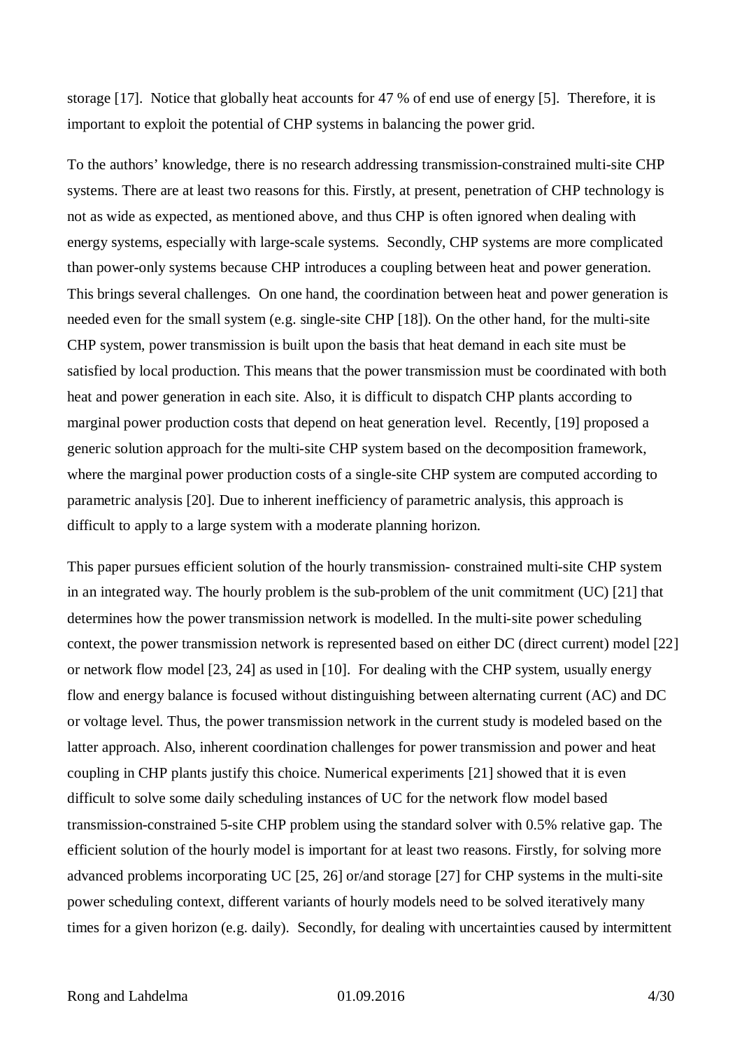storage [17]. Notice that globally heat accounts for 47 % of end use of energy [5]. Therefore, it is important to exploit the potential of CHP systems in balancing the power grid.

To the authors' knowledge, there is no research addressing transmission-constrained multi-site CHP systems. There are at least two reasons for this. Firstly, at present, penetration of CHP technology is not as wide as expected, as mentioned above, and thus CHP is often ignored when dealing with energy systems, especially with large-scale systems. Secondly, CHP systems are more complicated than power-only systems because CHP introduces a coupling between heat and power generation. This brings several challenges. On one hand, the coordination between heat and power generation is needed even for the small system (e.g. single-site CHP [18]). On the other hand, for the multi-site CHP system, power transmission is built upon the basis that heat demand in each site must be satisfied by local production. This means that the power transmission must be coordinated with both heat and power generation in each site. Also, it is difficult to dispatch CHP plants according to marginal power production costs that depend on heat generation level. Recently, [19] proposed a generic solution approach for the multi-site CHP system based on the decomposition framework, where the marginal power production costs of a single-site CHP system are computed according to parametric analysis [20]. Due to inherent inefficiency of parametric analysis, this approach is difficult to apply to a large system with a moderate planning horizon.

This paper pursues efficient solution of the hourly transmission- constrained multi-site CHP system in an integrated way. The hourly problem is the sub-problem of the unit commitment (UC) [21] that determines how the power transmission network is modelled. In the multi-site power scheduling context, the power transmission network is represented based on either DC (direct current) model [22] or network flow model [23, 24] as used in [10]. For dealing with the CHP system, usually energy flow and energy balance is focused without distinguishing between alternating current (AC) and DC or voltage level. Thus, the power transmission network in the current study is modeled based on the latter approach. Also, inherent coordination challenges for power transmission and power and heat coupling in CHP plants justify this choice. Numerical experiments [21] showed that it is even difficult to solve some daily scheduling instances of UC for the network flow model based transmission-constrained 5-site CHP problem using the standard solver with 0.5% relative gap. The efficient solution of the hourly model is important for at least two reasons. Firstly, for solving more advanced problems incorporating UC [25, 26] or/and storage [27] for CHP systems in the multi-site power scheduling context, different variants of hourly models need to be solved iteratively many times for a given horizon (e.g. daily). Secondly, for dealing with uncertainties caused by intermittent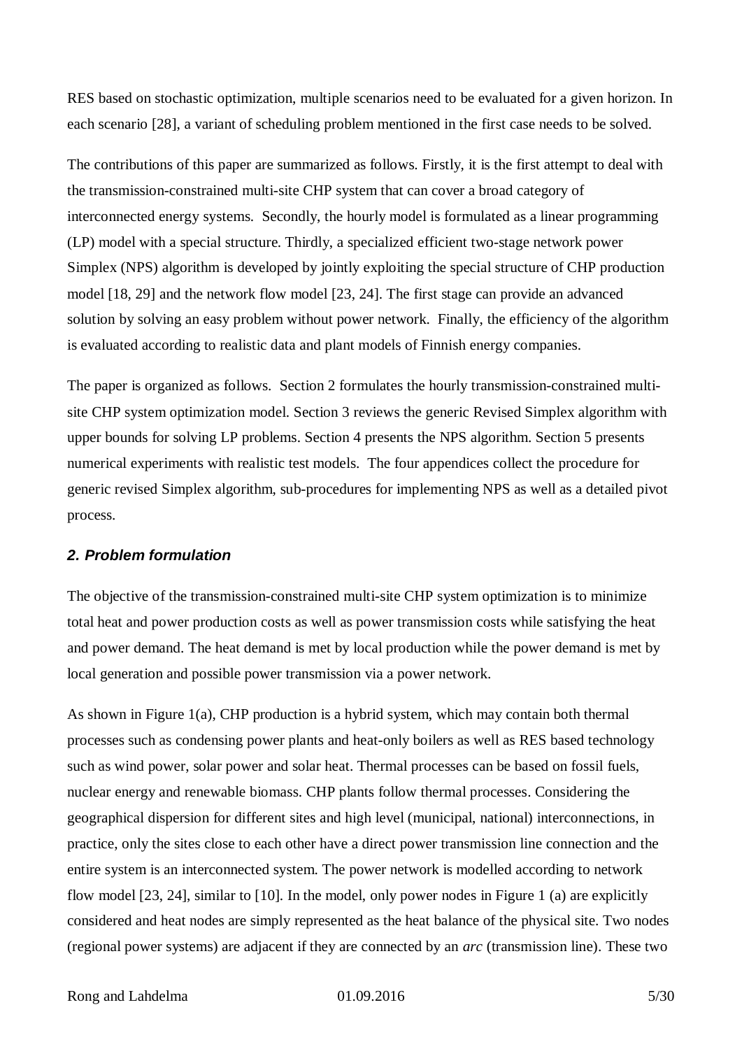RES based on stochastic optimization, multiple scenarios need to be evaluated for a given horizon. In each scenario [28], a variant of scheduling problem mentioned in the first case needs to be solved.

The contributions of this paper are summarized as follows. Firstly, it is the first attempt to deal with the transmission-constrained multi-site CHP system that can cover a broad category of interconnected energy systems. Secondly, the hourly model is formulated as a linear programming (LP) model with a special structure. Thirdly, a specialized efficient two-stage network power Simplex (NPS) algorithm is developed by jointly exploiting the special structure of CHP production model [18, 29] and the network flow model [23, 24]. The first stage can provide an advanced solution by solving an easy problem without power network. Finally, the efficiency of the algorithm is evaluated according to realistic data and plant models of Finnish energy companies.

The paper is organized as follows. Section 2 formulates the hourly transmission-constrained multisite CHP system optimization model. Section 3 reviews the generic Revised Simplex algorithm with upper bounds for solving LP problems. Section 4 presents the NPS algorithm. Section 5 presents numerical experiments with realistic test models. The four appendices collect the procedure for generic revised Simplex algorithm, sub-procedures for implementing NPS as well as a detailed pivot process.

#### *2. Problem formulation*

The objective of the transmission-constrained multi-site CHP system optimization is to minimize total heat and power production costs as well as power transmission costs while satisfying the heat and power demand. The heat demand is met by local production while the power demand is met by local generation and possible power transmission via a power network.

As shown in Figure 1(a), CHP production is a hybrid system, which may contain both thermal processes such as condensing power plants and heat-only boilers as well as RES based technology such as wind power, solar power and solar heat. Thermal processes can be based on fossil fuels, nuclear energy and renewable biomass. CHP plants follow thermal processes. Considering the geographical dispersion for different sites and high level (municipal, national) interconnections, in practice, only the sites close to each other have a direct power transmission line connection and the entire system is an interconnected system. The power network is modelled according to network flow model [23, 24], similar to [10]. In the model, only power nodes in Figure 1 (a) are explicitly considered and heat nodes are simply represented as the heat balance of the physical site. Two nodes (regional power systems) are adjacent if they are connected by an *arc* (transmission line). These two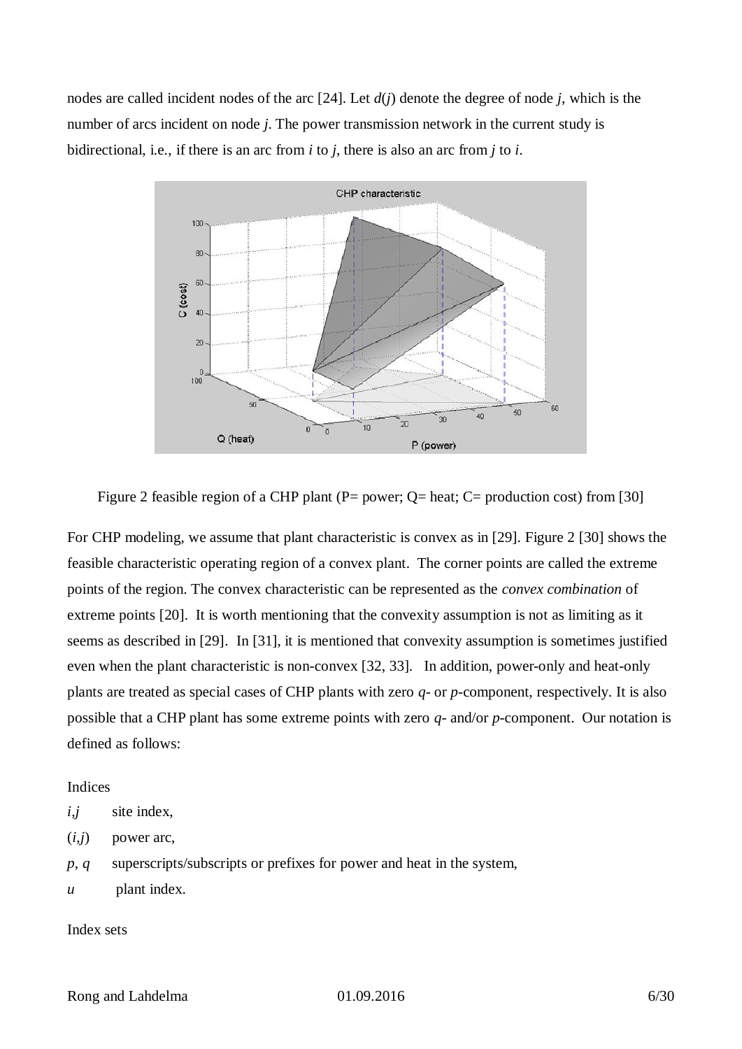nodes are called incident nodes of the arc [24]. Let *d*(*j*) denote the degree of node *j*, which is the number of arcs incident on node *j*. The power transmission network in the current study is bidirectional, i.e., if there is an arc from *i* to *j*, there is also an arc from *j* to *i*.



Figure 2 feasible region of a CHP plant (P= power; Q= heat; C= production cost) from [30]

For CHP modeling, we assume that plant characteristic is convex as in [29]. Figure 2 [30] shows the feasible characteristic operating region of a convex plant. The corner points are called the extreme points of the region. The convex characteristic can be represented as the *convex combination* of extreme points [20]. It is worth mentioning that the convexity assumption is not as limiting as it seems as described in [29]. In [31], it is mentioned that convexity assumption is sometimes justified even when the plant characteristic is non-convex [32, 33]. In addition, power-only and heat-only plants are treated as special cases of CHP plants with zero *q*- or *p*-component, respectively. It is also possible that a CHP plant has some extreme points with zero *q*- and/or *p*-component. Our notation is defined as follows:

## Indices

- *i,j* site index,
- $(i,j)$  power arc,
- *p*, *q* superscripts/subscripts or prefixes for power and heat in the system,
- *u* plant index.

#### Index sets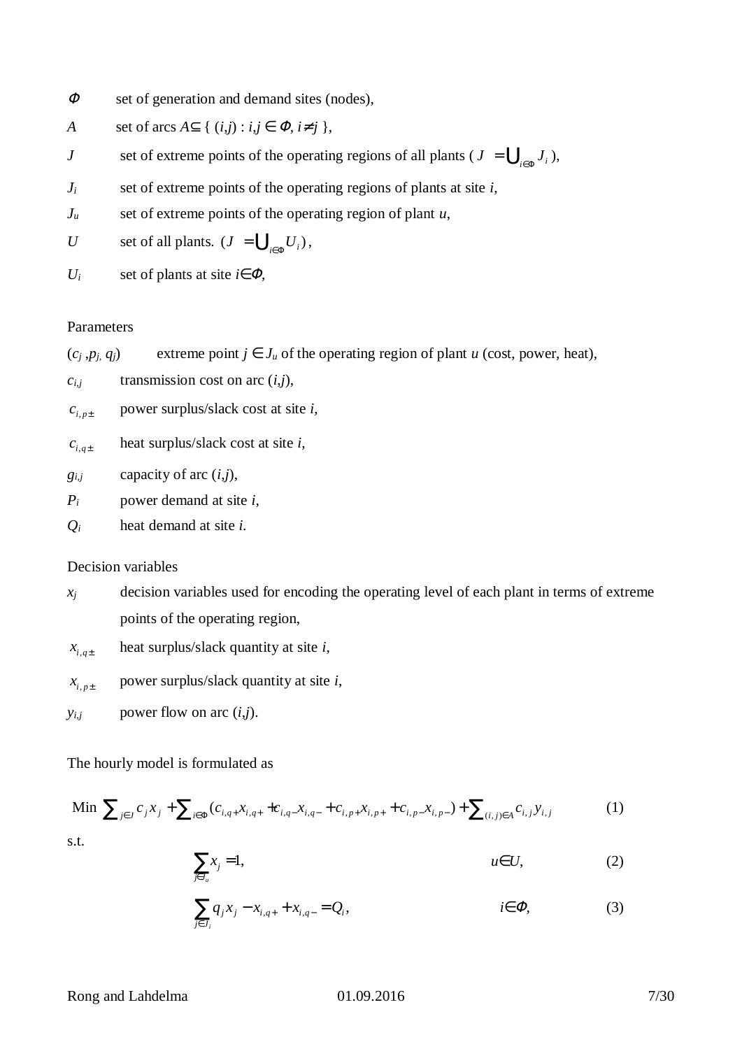- $\sqrt{2}$ set of generation and demand sites (nodes),
- *A* set of arcs  $A^{\dagger} \{ (i,j) : i,j \in F, i'j \}$ ,
- *J* set of extreme points of the operating regions of all plants ( $J = \bigcup_{i \in I} J_i$ ),
- *J<sup>i</sup>* set of extreme points of the operating regions of plants at site *i*,
- *J<sup>u</sup>* set of extreme points of the operating region of plant *u*,
- *U* set of all plants.  $(J = \bigcup_{i \in I} U_i)$ ,
- $U_i$  set of plants at site *i*  $\overline{F}$ ,

## Parameters

$$
(c_j, p_j, q_j)
$$
 extreme point  $j \in J_u$  of the operating region of plant  $u$  (cost, power, heat),

- $c_{i,j}$  transmission cost on arc  $(i,j)$ ,
- $c_{i,p\pm}$ power surplus/slack cost at site *i*,
- $c_{i,q\pm}$ heat surplus/slack cost at site *i*,
- $g_{i,j}$  capacity of arc  $(i,j)$ ,
- *P<sup>i</sup>* power demand at site *i,*
- *Q<sup>i</sup>* heat demand at site *i.*

## Decision variables

- $x_i$  decision variables used for encoding the operating level of each plant in terms of extreme points of the operating region,
- $x_{i,q\pm}$ heat surplus/slack quantity at site *i*,
- $x_{i,p\pm}$ power surplus/slack quantity at site *i*,
- $y_{i,j}$  power flow on arc  $(i,j)$ .

## The hourly model is formulated as

Min 
$$
\hat{\mathbf{a}}_{j_1, j} c_j x_j + \hat{\mathbf{a}}_{j_1, \mathsf{F}} (c_{i,q+1, q+1} + c_{i,q+1, q+1} + c_{i,p+1, q+1} + c_{i,p+1, q+1}) + \hat{\mathbf{a}}_{(i,j_1, j_1, q+1, q+1)} (1)
$$

s.t.

$$
\hat{\mathbf{a}}_{x_j} = 1, \qquad \qquad \text{if } U, \qquad (2)
$$

$$
\hat{\mathbf{a}}_i q_j x_j - x_{i,q+} + x_{i,q-} = Q_i, \qquad \qquad \hat{\mathbf{i}}_i F, \qquad (3)
$$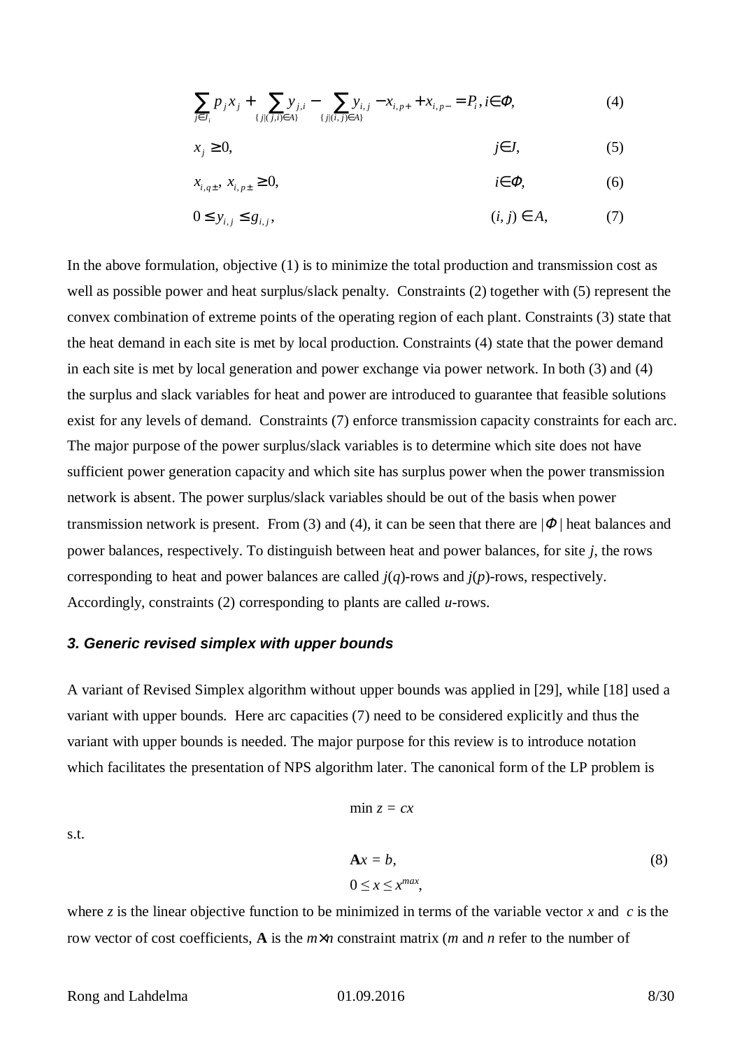$$
\hat{\mathbf{A}}_{j} p_j x_j + \hat{\mathbf{A}}_{\{j|(j,i)\}} \mathbf{y}_{j,i} - \hat{\mathbf{A}}_{\{j|(i,j)\}} \mathbf{y}_{i,j} - x_{i,p+} + x_{i,p-} = P_i, \hat{\mathbf{i}} \mathbf{F}, \tag{4}
$$

$$
x_j^3 \neq 0, \qquad j \neq j \qquad (5)
$$

$$
x_{i,q\pm}, x_{i,p\pm}^2 \, 3 \, 0, \qquad \qquad \text{if } F, \qquad \qquad (6)
$$

$$
0 \triangleq y_{i,j} \triangleq g_{i,j}, \qquad (i,j) \hat{I} \quad A, \qquad (7)
$$

In the above formulation, objective (1) is to minimize the total production and transmission cost as well as possible power and heat surplus/slack penalty. Constraints (2) together with (5) represent the convex combination of extreme points of the operating region of each plant. Constraints (3) state that the heat demand in each site is met by local production. Constraints (4) state that the power demand in each site is met by local generation and power exchange via power network. In both (3) and (4) the surplus and slack variables for heat and power are introduced to guarantee that feasible solutions exist for any levels of demand. Constraints (7) enforce transmission capacity constraints for each arc. The major purpose of the power surplus/slack variables is to determine which site does not have sufficient power generation capacity and which site has surplus power when the power transmission network is absent. The power surplus/slack variables should be out of the basis when power transmission network is present. From (3) and (4), it can be seen that there are  $|F|$  heat balances and power balances, respectively. To distinguish between heat and power balances, for site *j*, the rows corresponding to heat and power balances are called *j*(*q*)-rows and *j*(*p*)-rows, respectively. Accordingly, constraints (2) corresponding to plants are called *u*-rows.

#### *3. Generic revised simplex with upper bounds*

A variant of Revised Simplex algorithm without upper bounds was applied in [29], while [18] used a variant with upper bounds. Here arc capacities (7) need to be considered explicitly and thus the variant with upper bounds is needed. The major purpose for this review is to introduce notation which facilitates the presentation of NPS algorithm later. The canonical form of the LP problem is

$$
\min z = cx
$$
  
\n
$$
\mathbf{A}x = b,
$$
  
\n
$$
0 \le x \le x^{max},
$$
\n(8)

where *z* is the linear objective function to be minimized in terms of the variable vector *x* and *c* is the row vector of cost coefficients, **A** is the *m n* constraint matrix (*m* and *n* refer to the number of

s.t.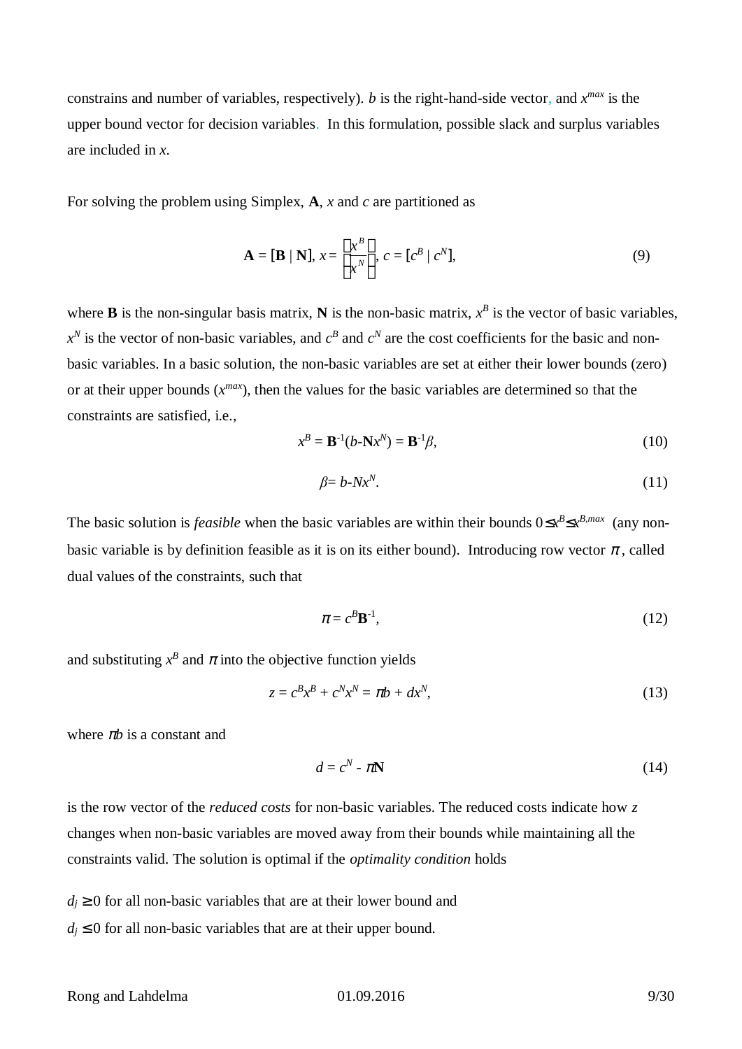constrains and number of variables, respectively). *b* is the right-hand-side vector, and  $x^{max}$  is the upper bound vector for decision variables. In this formulation, possible slack and surplus variables are included in *x*.

For solving the problem using Simplex, **A**, *x* and *c* are partitioned as

$$
\mathbf{A} = [\mathbf{B} \mid \mathbf{N}], x = \frac{\hat{\mathbf{e}}x^B \hat{\mathbf{u}}}{\hat{\mathbf{e}}x^N \hat{\mathbf{u}}}, c = [c^B \mid c^N],
$$
(9)

where **B** is the non-singular basis matrix, **N** is the non-basic matrix,  $x^B$  is the vector of basic variables,  $x^N$  is the vector of non-basic variables, and  $c^B$  and  $c^N$  are the cost coefficients for the basic and nonbasic variables. In a basic solution, the non-basic variables are set at either their lower bounds (zero) or at their upper bounds  $(x^{max})$ , then the values for the basic variables are determined so that the constraints are satisfied, i.e.,

$$
x^B = \mathbf{B}^{-1}(b - \mathbf{N}x^N) = \mathbf{B}^{-1}\beta,
$$
\n(10)

$$
\beta = b - N x^N. \tag{11}
$$

The basic solution is *feasible* when the basic variables are within their bounds  $0 \& x^B \& x^{B,max}$  (any nonbasic variable is by definition feasible as it is on its either bound). Introducing row vector  $p$ , called dual values of the constraints, such that

$$
\mathbf{p} = c^B \mathbf{B}^{-1},\tag{12}
$$

and substituting  $x^B$  and  $\rho$  into the objective function yields

$$
z = c^B x^B + c^N x^N = \mathbf{p} b + dx^N, \tag{13}
$$

where *pb* is a constant and

$$
d = c^N - \rho \mathbf{N} \tag{14}
$$

is the row vector of the *reduced costs* for non-basic variables. The reduced costs indicate how *z* changes when non-basic variables are moved away from their bounds while maintaining all the constraints valid. The solution is optimal if the *optimality condition* holds

 $d_i$ <sup>3</sup> 0 for all non-basic variables that are at their lower bound and

 $d_i \, \pounds$  0 for all non-basic variables that are at their upper bound.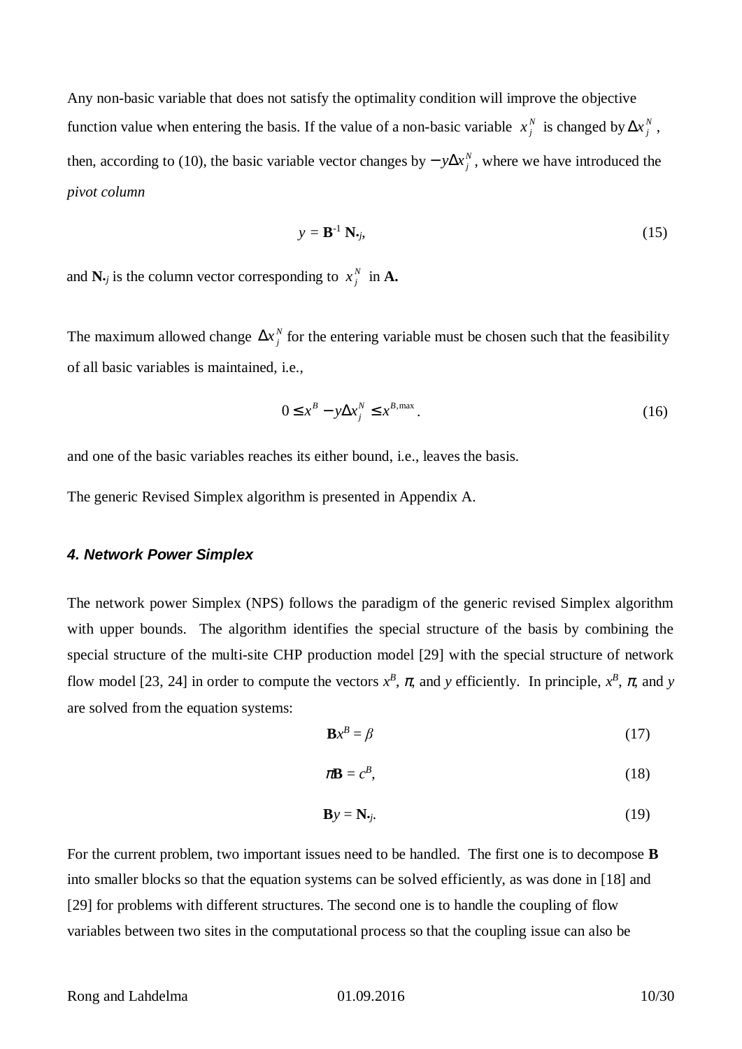Any non-basic variable that does not satisfy the optimality condition will improve the objective function value when entering the basis. If the value of a non-basic variable  $x_j^N$  is changed by  $\mathbf{D}x_j^N$ , then, according to (10), the basic variable vector changes by  $\cdot y\mathbf{D}x_j^N$ , where we have introduced the *pivot column*

$$
y = \mathbf{B}^{-1} \mathbf{N}_{\boldsymbol{\cdot}j},\tag{15}
$$

and  $N_{\cdot j}$  is the column vector corresponding to  $x_j^N$  in **A**.

The maximum allowed change  $\mathbb{D}x_j^N$  for the entering variable must be chosen such that the feasibility of all basic variables is maintained, i.e.,

$$
0 \mathbf{\pounds} \; x^B - y \mathbf{D} x_j^N \mathbf{\pounds} \; x^{B,\max} \,. \tag{16}
$$

and one of the basic variables reaches its either bound, i.e., leaves the basis.

The generic Revised Simplex algorithm is presented in Appendix A.

#### *4. Network Power Simplex*

The network power Simplex (NPS) follows the paradigm of the generic revised Simplex algorithm with upper bounds. The algorithm identifies the special structure of the basis by combining the special structure of the multi-site CHP production model [29] with the special structure of network flow model [23, 24] in order to compute the vectors  $x^B$ ,  $\boldsymbol{p}$ , and *y* efficiently. In principle,  $x^B$ ,  $\boldsymbol{p}$ , and *y* are solved from the equation systems:

$$
\mathbf{B}x^B = \beta \tag{17}
$$

$$
\rho \mathbf{B} = c^B, \tag{18}
$$

$$
\mathbf{B}\mathbf{y} = \mathbf{N}_{\boldsymbol{\cdot}j}.\tag{19}
$$

For the current problem, two important issues need to be handled. The first one is to decompose **B** into smaller blocks so that the equation systems can be solved efficiently, as was done in [18] and [29] for problems with different structures. The second one is to handle the coupling of flow variables between two sites in the computational process so that the coupling issue can also be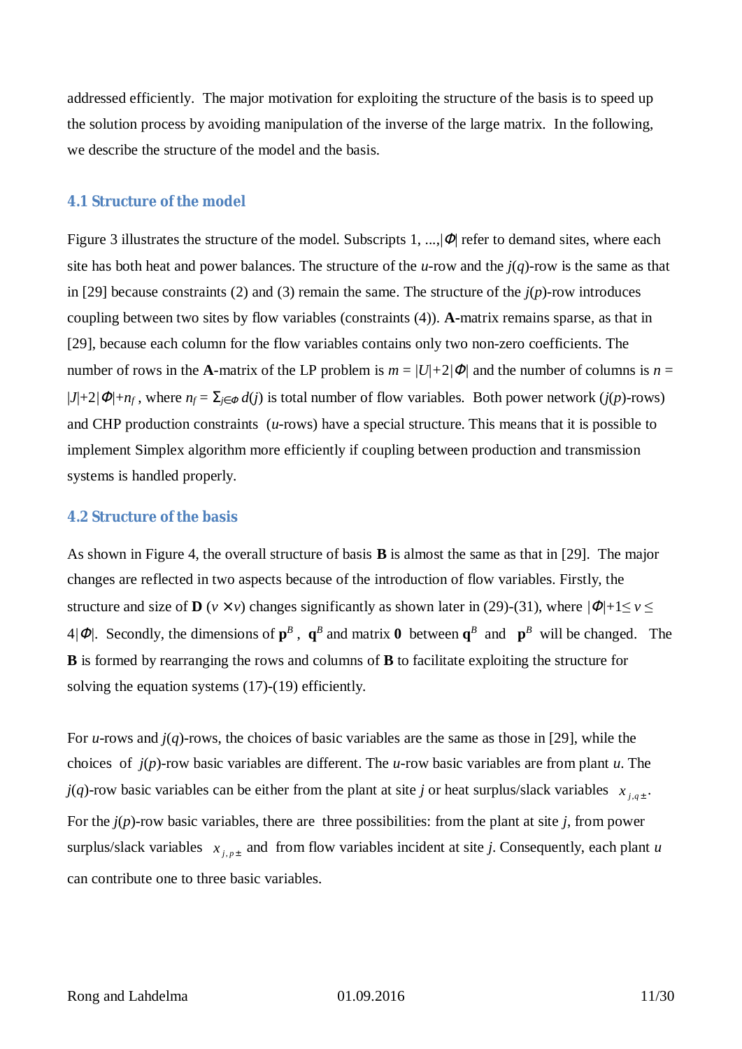addressed efficiently. The major motivation for exploiting the structure of the basis is to speed up the solution process by avoiding manipulation of the inverse of the large matrix. In the following, we describe the structure of the model and the basis.

## **4.1 Structure of the model**

Figure 3 illustrates the structure of the model. Subscripts  $1, ..., |F|$  refer to demand sites, where each site has both heat and power balances. The structure of the *u*-row and the *j*(*q*)-row is the same as that in [29] because constraints (2) and (3) remain the same. The structure of the *j*(*p*)-row introduces coupling between two sites by flow variables (constraints (4)). **A-**matrix remains sparse, as that in [29], because each column for the flow variables contains only two non-zero coefficients. The number of rows in the **A**-matrix of the LP problem is  $m = |U| + 2|F|$  and the number of columns is  $n =$  $|J|+2/F|+n_f$ , where  $n_f = S$ <sub>*i*</sub>  $\neq d(j)$  is total number of flow variables. Both power network (*j*(*p*)-rows) and CHP production constraints (*u*-rows) have a special structure. This means that it is possible to implement Simplex algorithm more efficiently if coupling between production and transmission systems is handled properly.

#### **4.2 Structure of the basis**

As shown in Figure 4, the overall structure of basis **B** is almost the same as that in [29]. The major changes are reflected in two aspects because of the introduction of flow variables. Firstly, the structure and size of **D** (*v v*) changes significantly as shown later in (29)-(31), where  $|F|+1 \le v \le$  $4/F$ . Secondly, the dimensions of  $p^B$ ,  $q^B$  and matrix **0** between  $q^B$  and  $p^B$  will be changed. The **B** is formed by rearranging the rows and columns of **B** to facilitate exploiting the structure for solving the equation systems (17)-(19) efficiently.

For *u*-rows and *j*(*q*)-rows, the choices of basic variables are the same as those in [29], while the choices of *j*(*p*)-row basic variables are different. The *u*-row basic variables are from plant *u*. The *j*(*q*)-row basic variables can be either from the plant at site *j* or heat surplus/slack variables  $x_{j,q\pm}$ . For the *j*(*p*)-row basic variables, there are three possibilities: from the plant at site *j*, from power surplus/slack variables  $x_{j,p\pm}$  and from flow variables incident at site *j*. Consequently, each plant *u* can contribute one to three basic variables.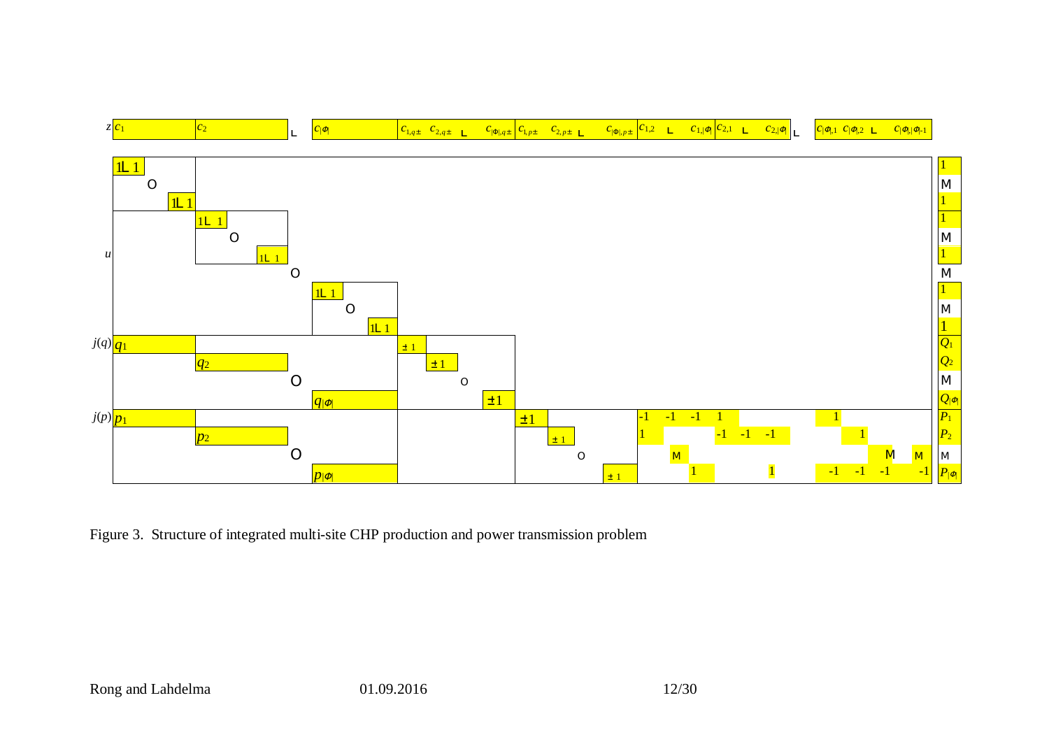

Figure 3. Structure of integrated multi-site CHP production and power transmission problem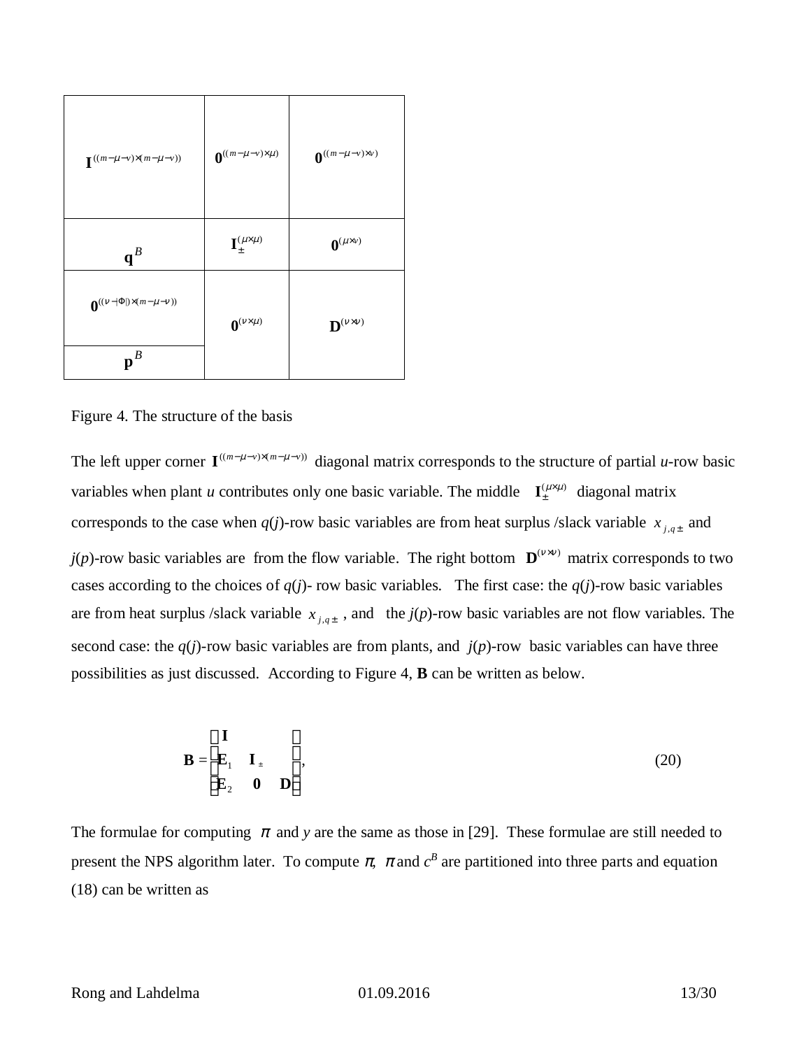| $\boldsymbol{\mathrm{I\!}\,}^{((m\text{-}~m~v)^\prime~(m\text{-}~m~v))}$ | $\mathbf{0}^{((m-m \nu)' m)}$             | $\mathbf{0}^{((m-m \; \nu)' \nu)}$ |
|--------------------------------------------------------------------------|-------------------------------------------|------------------------------------|
| $\mathbf{q}^B$                                                           | ${\bf I}^{(m~m)}_{\pm}$                   | $\mathbf{0}^{(m'v)}$               |
| $\boldsymbol{0}^{((n-\mid\text{F}\mid)^(m\cdot m\cdot n))}$              | $\mathbf{0}^{\left(n^{\prime}\;m\right)}$ | $\mathbf{D}^{(n'n)}$               |
| $\mathbf{p}^B$                                                           |                                           |                                    |

Figure 4. The structure of the basis

The left upper corner  $\mathbf{I}^{((m-m \nu)')}(m \cdot m \nu)$  diagonal matrix corresponds to the structure of partial *u*-row basic variables when plant *u* contributes only one basic variable. The middle  $I_{\pm}^{(m,m)}$  diagonal matrix corresponds to the case when  $q(j)$ -row basic variables are from heat surplus /slack variable  $x_{j,q\pm}$  and  $j(p)$ -row basic variables are from the flow variable. The right bottom  $\mathbf{D}^{(n/n)}$  matrix corresponds to two cases according to the choices of  $q(j)$ - row basic variables. The first case: the  $q(j)$ -row basic variables are from heat surplus /slack variable  $x_{j,q\pm}$ , and the  $j(p)$ -row basic variables are not flow variables. The second case: the *q*(*j*)-row basic variables are from plants, and *j*(*p*)-row basic variables can have three possibilities as just discussed. According to Figure 4, **B** can be written as below.

$$
\mathbf{B} = \begin{matrix} \dot{\mathbf{e}} & \mathbf{I} & \dot{\mathbf{u}} \\ \mathbf{\dot{e}} & \mathbf{E}_1 & \mathbf{I}_+ & \dot{\mathbf{u}} \\ \mathbf{\dot{e}} & \mathbf{E}_2 & \mathbf{0} & \mathbf{D}\dot{\mathbf{u}} \end{matrix}
$$
 (20)

The formulae for computing  $\rho$  and  $\gamma$  are the same as those in [29]. These formulae are still needed to present the NPS algorithm later. To compute  $\rho$ ,  $\rho$  and  $c^B$  are partitioned into three parts and equation (18) can be written as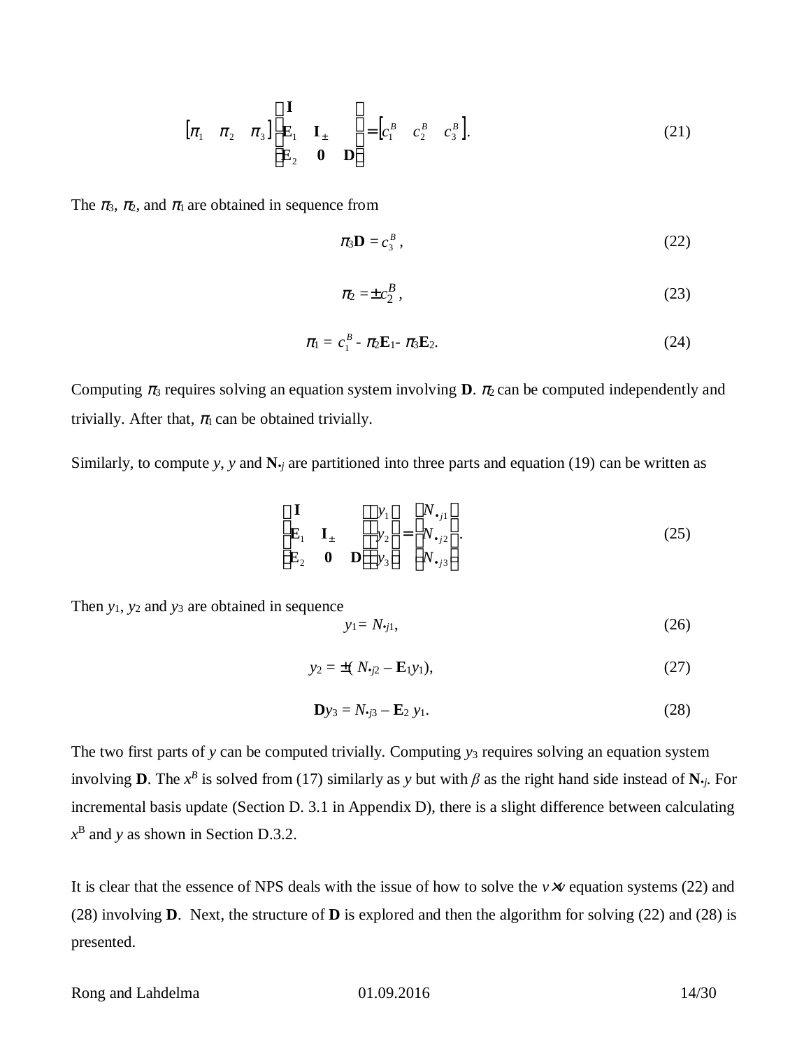$$
\begin{bmatrix} \dot{\mathbf{p}}_1 & \mathbf{p}_2 & \mathbf{p}_3 \end{bmatrix} \begin{matrix} \dot{\mathbf{e}}_1 & \dot{\mathbf{u}} \\ \mathbf{\dot{e}}_1 & \mathbf{I}_{\pm} & \dot{\mathbf{u}}_{\pm} \\ \dot{\mathbf{\dot{e}}}_{\pm} & \dot{\mathbf{u}}_{\pm} & \dot{\mathbf{u}}_{\pm} \\ \dot{\mathbf{\dot{e}}}_{\pm} & \mathbf{0} & \mathbf{D} \dot{\mathbf{u}} \end{matrix} = \begin{bmatrix} c_1^B & c_2^B & c_3^B \end{bmatrix}.
$$
 (21)

The  $p_3$ ,  $p_2$ , and  $p_1$  are obtained in sequence from

$$
\rho_3 \mathbf{D} = c_3^B, \tag{22}
$$

$$
\rho_2 = \pm c_2^B \,,\tag{23}
$$

$$
\rho_1=c_1^B-\rho_2\mathbf{E}_1-\rho_3\mathbf{E}_2. \hspace{1cm} (24)
$$

Computing  $p_3$  requires solving an equation system involving **D**.  $p_2$  can be computed independently and trivially. After that,  $p_1$  can be obtained trivially.

Similarly, to compute *y*, *y* and  $\mathbf{N}_i$  are partitioned into three parts and equation (19) can be written as

$$
\begin{array}{ll}\n\dot{\mathbf{e}}\mathbf{I} & \dot{\mathbf{u}}\dot{\mathbf{e}}\mathbf{y}_{1}\dot{\mathbf{u}} & \dot{\mathbf{e}}\mathbf{N}_{\cdot j1}\dot{\mathbf{u}} \\
\hat{\mathbf{e}}\mathbf{E}_{1} & \mathbf{I}_{\pm} & \dot{\mathbf{u}}\dot{\mathbf{e}}\mathbf{V}_{2}\dot{\mathbf{u}} = \dot{\mathbf{e}}\mathbf{N}_{\cdot j2}\dot{\mathbf{u}} \\
\hat{\mathbf{g}}\mathbf{E}_{2} & \mathbf{0} & \mathbf{D}\dot{\mathbf{t}}\dot{\mathbf{g}}\mathbf{y}_{3}\dot{\mathbf{g}} & \hat{\mathbf{g}}\mathbf{N}_{\cdot j3}\dot{\mathbf{y}}\n\end{array}
$$
\n(25)

 $\mathbf{r}$ 

Then *y*1, *y*2 and *y*3 are obtained in sequence

$$
y_1 = N_{\bullet j1},\tag{26}
$$

$$
y_2 = \pm (N_{\nu 2} - \mathbf{E}_{1} y_1), \tag{27}
$$

$$
\mathbf{D}y_3 = N_{\boldsymbol{\cdot}j3} - \mathbf{E}_2 \ y_1. \tag{28}
$$

The two first parts of *y* can be computed trivially. Computing *y*3 requires solving an equation system involving **D**. The  $x^B$  is solved from (17) similarly as y but with  $\beta$  as the right hand side instead of  $N_{\cdot j}$ . For incremental basis update (Section D. 3.1 in Appendix D), there is a slight difference between calculating *x* B and *y* as shown in Section D.3.2.

It is clear that the essence of NPS deals with the issue of how to solve the *v v* equation systems (22) and (28) involving **D**. Next, the structure of **D** is explored and then the algorithm for solving (22) and (28) is presented.

Rong and Lahdelma 01.09.2016 14/30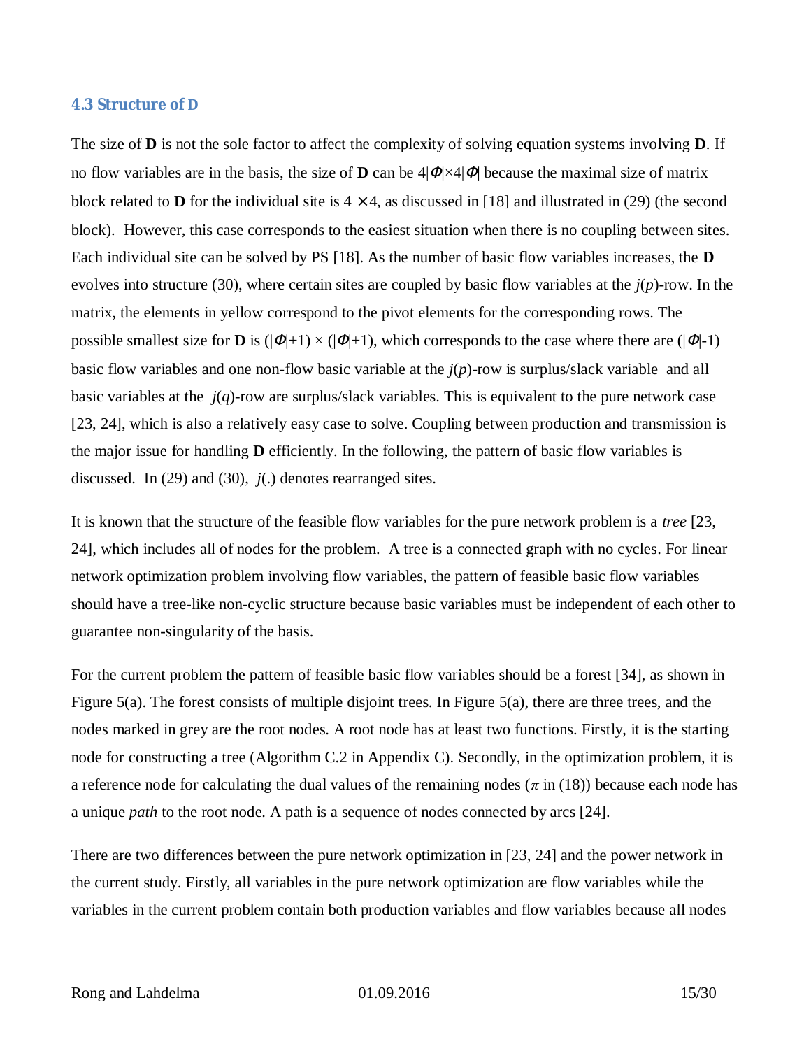#### **4.3 Structure of D**

The size of **D** is not the sole factor to affect the complexity of solving equation systems involving **D**. If no flow variables are in the basis, the size of **D** can be  $4|F| \times 4|F|$  because the maximal size of matrix block related to **D** for the individual site is  $4'$  4, as discussed in [18] and illustrated in (29) (the second block). However, this case corresponds to the easiest situation when there is no coupling between sites. Each individual site can be solved by PS [18]. As the number of basic flow variables increases, the **D** evolves into structure (30), where certain sites are coupled by basic flow variables at the *j*(*p*)-row. In the matrix, the elements in yellow correspond to the pivot elements for the corresponding rows. The possible smallest size for **D** is  $(|F|+1) \times (|F|+1)$ , which corresponds to the case where there are  $(|F|-1)$ basic flow variables and one non-flow basic variable at the *j*(*p*)-row is surplus/slack variable and all basic variables at the *j*(*q*)-row are surplus/slack variables. This is equivalent to the pure network case [23, 24], which is also a relatively easy case to solve. Coupling between production and transmission is the major issue for handling **D** efficiently. In the following, the pattern of basic flow variables is discussed. In (29) and (30), *j*(.) denotes rearranged sites.

It is known that the structure of the feasible flow variables for the pure network problem is a *tree* [23, 24], which includes all of nodes for the problem. A tree is a connected graph with no cycles. For linear network optimization problem involving flow variables, the pattern of feasible basic flow variables should have a tree-like non-cyclic structure because basic variables must be independent of each other to guarantee non-singularity of the basis.

For the current problem the pattern of feasible basic flow variables should be a forest [34], as shown in Figure 5(a). The forest consists of multiple disjoint trees. In Figure 5(a), there are three trees, and the nodes marked in grey are the root nodes. A root node has at least two functions. Firstly, it is the starting node for constructing a tree (Algorithm C.2 in Appendix C). Secondly, in the optimization problem, it is a reference node for calculating the dual values of the remaining nodes ( $\pi$  in (18)) because each node has a unique *path* to the root node. A path is a sequence of nodes connected by arcs [24].

There are two differences between the pure network optimization in [23, 24] and the power network in the current study. Firstly, all variables in the pure network optimization are flow variables while the variables in the current problem contain both production variables and flow variables because all nodes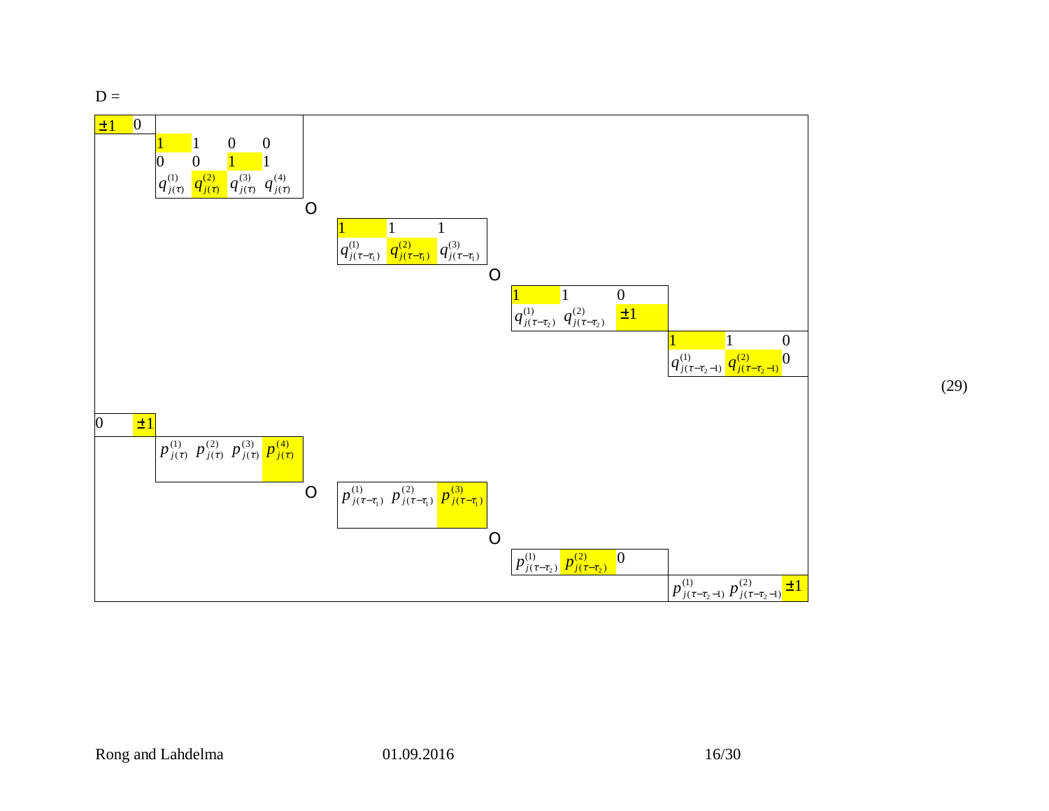$D =$ 



(29)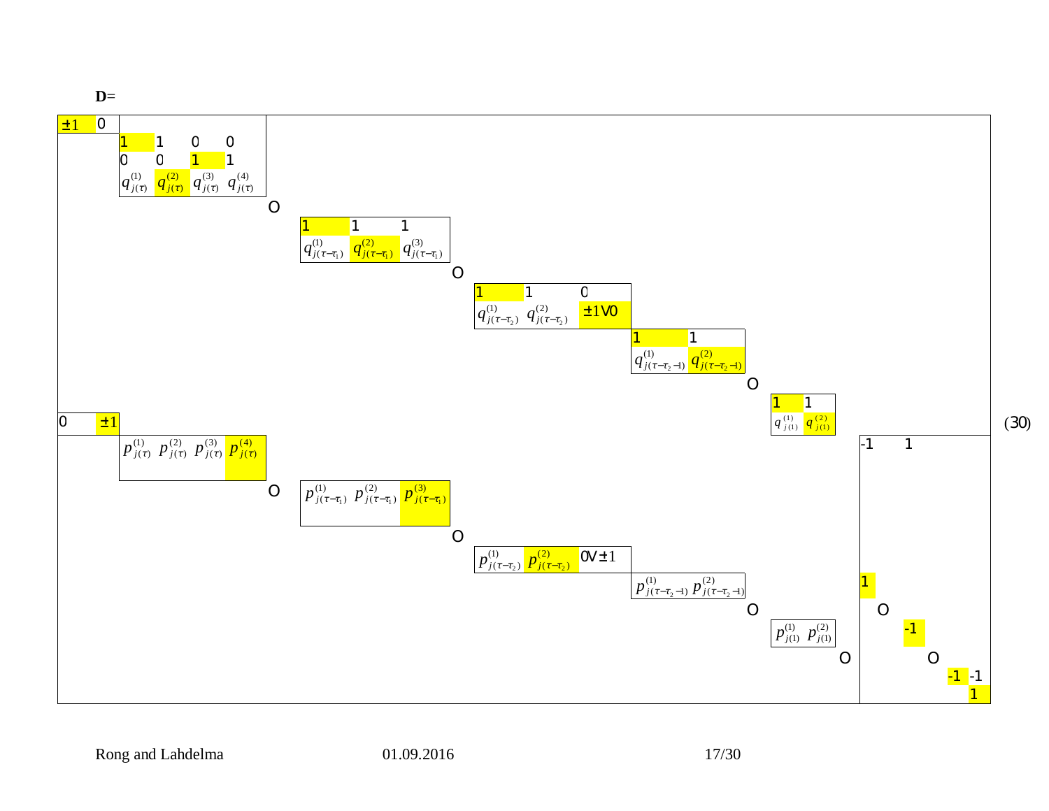

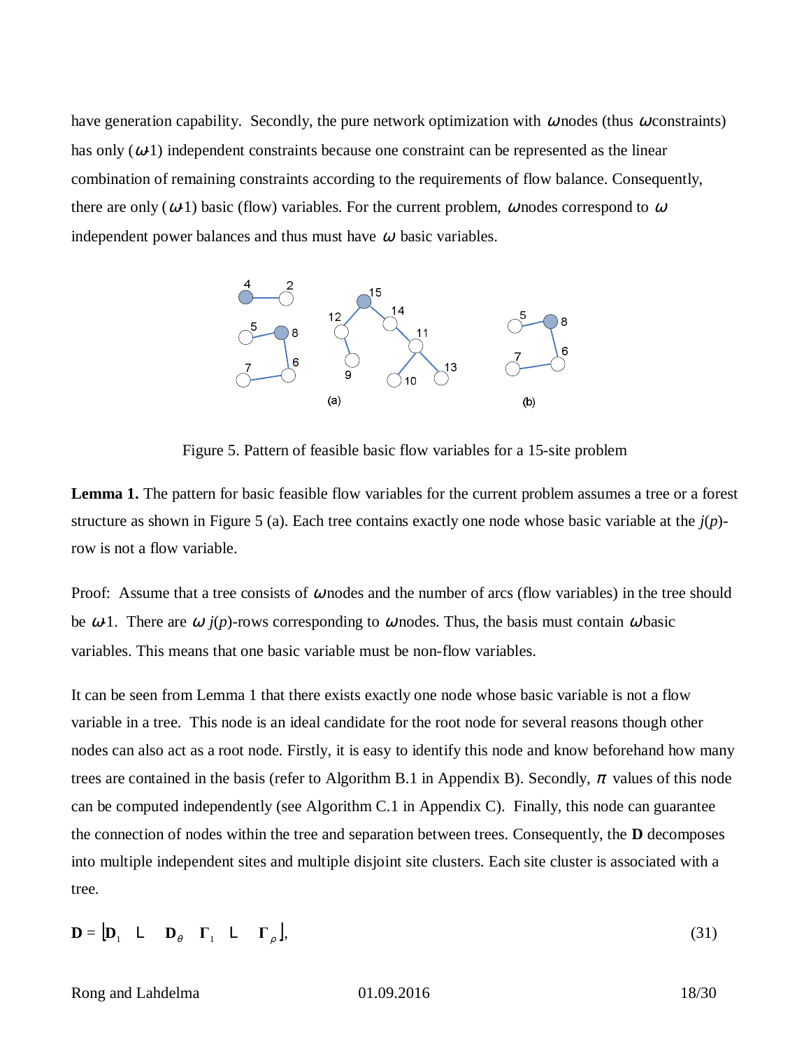have generation capability. Secondly, the pure network optimization with  $w$  nodes (thus  $w$  constraints) has only  $(W_1)$  independent constraints because one constraint can be represented as the linear combination of remaining constraints according to the requirements of flow balance. Consequently, there are only  $(W1)$  basic (flow) variables. For the current problem, *w* nodes correspond to *w* independent power balances and thus must have  $w$  basic variables.



Figure 5. Pattern of feasible basic flow variables for a 15-site problem

**Lemma 1.** The pattern for basic feasible flow variables for the current problem assumes a tree or a forest structure as shown in Figure 5 (a). Each tree contains exactly one node whose basic variable at the *j*(*p*) row is not a flow variable.

Proof: Assume that a tree consists of *W* nodes and the number of arcs (flow variables) in the tree should be  $W<sup>1</sup>$ . There are *W*  $j(p)$ -rows corresponding to *W* nodes. Thus, the basis must contain *W* basic variables. This means that one basic variable must be non-flow variables. •

It can be seen from Lemma 1 that there exists exactly one node whose basic variable is not a flow variable in a tree. This node is an ideal candidate for the root node for several reasons though other nodes can also act as a root node. Firstly, it is easy to identify this node and know beforehand how many trees are contained in the basis (refer to Algorithm B.1 in Appendix B). Secondly,  $\rho$  values of this node can be computed independently (see Algorithm C.1 in Appendix C). Finally, this node can guarantee the connection of nodes within the tree and separation between trees. Consequently, the **D** decomposes into multiple independent sites and multiple disjoint site clusters. Each site cluster is associated with a tree.

$$
\mathbf{D} = [\mathbf{D}_1 \quad \mathbf{L} \quad \mathbf{D}_q \quad \mathbf{\Gamma}_1 \quad \mathbf{L} \quad \mathbf{\Gamma}_r], \tag{31}
$$

Rong and Lahdelma **01.09.2016** 18/30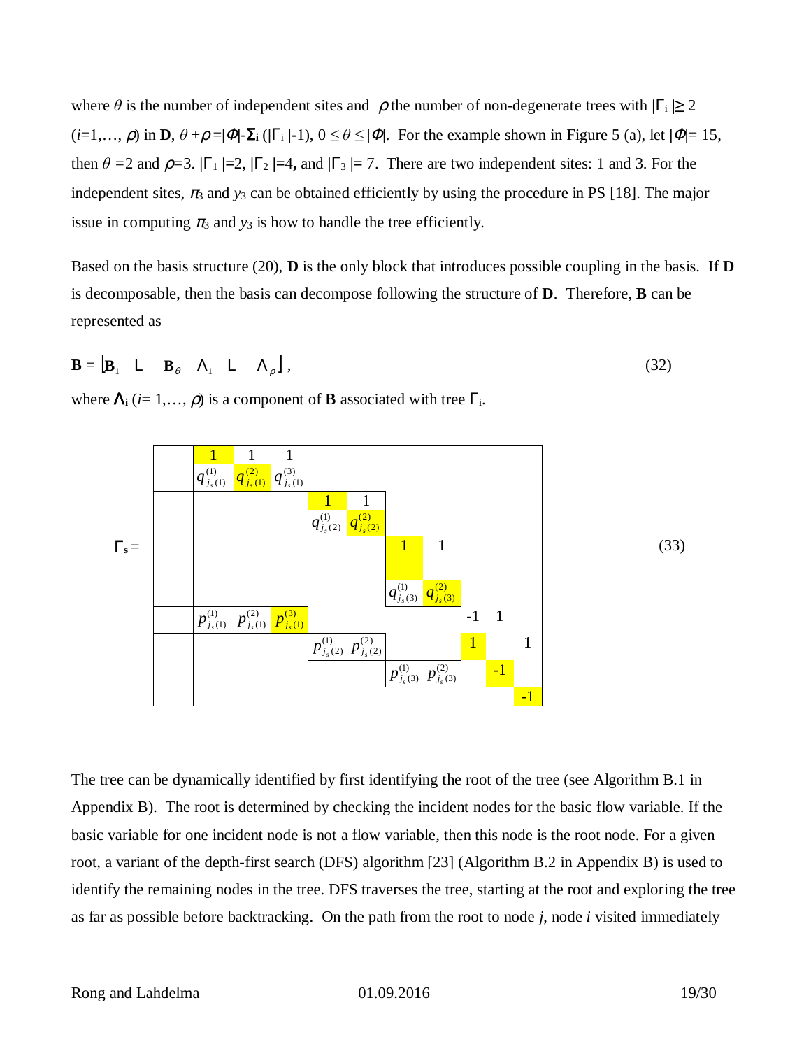where  $\theta$  is the number of independent sites and  $\tau$  the number of non-degenerate trees with  $|G| \geq 2$  $(i=1,\ldots, r)$  in **D**,  $\theta + r = |F|$ -S**i** ( $|G|$ -1),  $0 \le \theta \le |F|$ . For the example shown in Figure 5 (a), let  $|F|=15$ , then  $\theta = 2$  and  $r = 3$ .  $|G_1| = 2$ ,  $|G_2| = 4$ , and  $|G_3| = 7$ . There are two independent sites: 1 and 3. For the independent sites,  $p_3$  and  $y_3$  can be obtained efficiently by using the procedure in PS [18]. The major issue in computing  $p_3$  and  $y_3$  is how to handle the tree efficiently.

Based on the basis structure (20), **D** is the only block that introduces possible coupling in the basis. If **D** is decomposable, then the basis can decompose following the structure of **D**. Therefore, **B** can be represented as

$$
\mathbf{B} = \begin{bmatrix} \mathbf{B}_1 & \mathsf{L} & \mathbf{B}_q & \mathsf{L}_1 & \mathsf{L} & \mathsf{L}_r \end{bmatrix},\tag{32}
$$

where  $\mathsf{L}_i$  (*i*= 1,..., *r*) is a component of **B** associated with tree  $\mathsf{G}_i$ .



The tree can be dynamically identified by first identifying the root of the tree (see Algorithm B.1 in Appendix B). The root is determined by checking the incident nodes for the basic flow variable. If the basic variable for one incident node is not a flow variable, then this node is the root node. For a given root, a variant of the depth-first search (DFS) algorithm [23] (Algorithm B.2 in Appendix B) is used to identify the remaining nodes in the tree. DFS traverses the tree, starting at the root and exploring the tree as far as possible before backtracking. On the path from the root to node *j*, node *i* visited immediately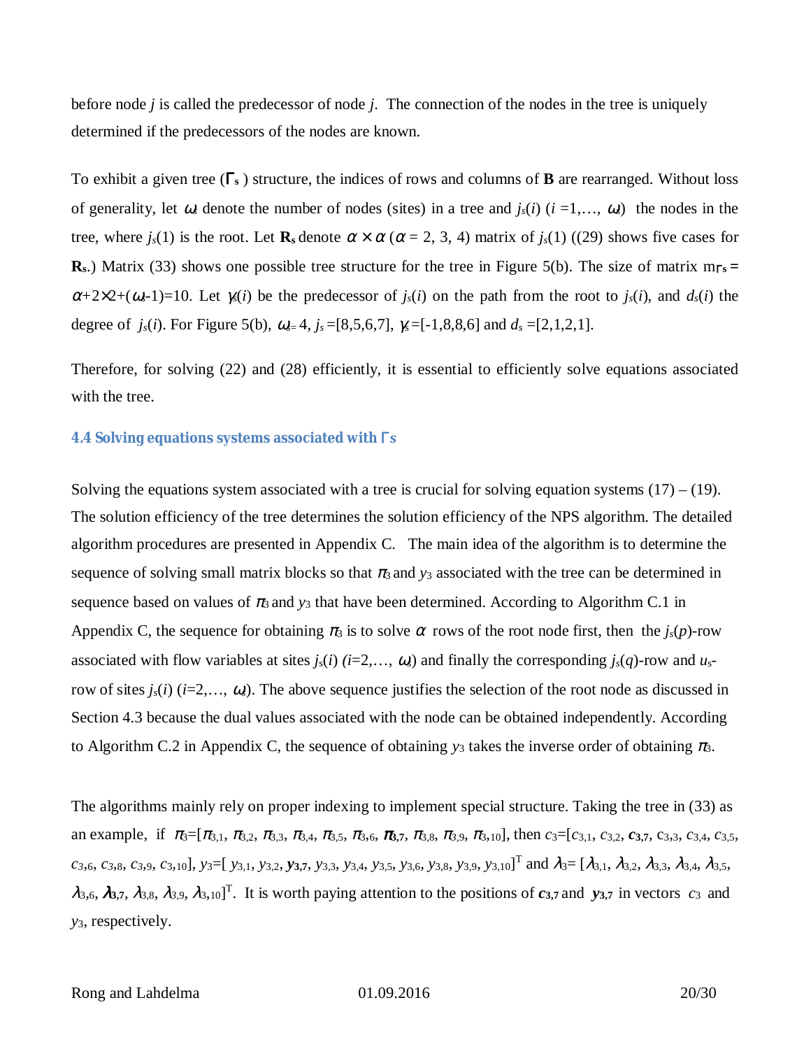before node *j* is called the predecessor of node *j*. The connection of the nodes in the tree is uniquely determined if the predecessors of the nodes are known.

To exhibit a given tree (G<sub>s</sub>) structure, the indices of rows and columns of **B** are rearranged. Without loss of generality, let  $w_s$  denote the number of nodes (sites) in a tree and  $j_s(i)$  ( $i = 1,..., w_s$ ) the nodes in the tree, where  $j_s(1)$  is the root. Let  $\mathbf{R}_s$  denote  $a' a (a = 2, 3, 4)$  matrix of  $j_s(1)$  ((29) shows five cases for **R**<sub>s</sub>.) Matrix (33) shows one possible tree structure for the tree in Figure 5(b). The size of matrix  $m_{\text{G}} =$  $a+2^2$  2+( $w_s$ -1)=10. Let  $g(i)$  be the predecessor of  $j_s(i)$  on the path from the root to  $j_s(i)$ , and  $d_s(i)$  the degree of *j<sub>s</sub>*(*i*). For Figure 5(b),  $W_{s=}4$ ,  $j_s=[8,5,6,7]$ ,  $g=[-1,8,8,6]$  and  $d_s=[2,1,2,1]$ .

Therefore, for solving (22) and (28) efficiently, it is essential to efficiently solve equations associated with the tree.

## **4.4 Solving equations systems associated with** G**s**

Solving the equations system associated with a tree is crucial for solving equation systems  $(17) - (19)$ . The solution efficiency of the tree determines the solution efficiency of the NPS algorithm. The detailed algorithm procedures are presented in Appendix C. The main idea of the algorithm is to determine the sequence of solving small matrix blocks so that  $p_3$  and  $y_3$  associated with the tree can be determined in sequence based on values of  $p_3$  and  $y_3$  that have been determined. According to Algorithm C.1 in Appendix C, the sequence for obtaining  $p_3$  is to solve a rows of the root node first, then the  $j_s(p)$ -row associated with flow variables at sites  $j_s(i)$  ( $i=2,..., w_s$ ) and finally the corresponding  $j_s(q)$ -row and  $u_s$ row of sites  $j_s(i)$  ( $i=2,\ldots, w_s$ ). The above sequence justifies the selection of the root node as discussed in Section 4.3 because the dual values associated with the node can be obtained independently. According to Algorithm C.2 in Appendix C, the sequence of obtaining  $y_3$  takes the inverse order of obtaining  $p_3$ .

The algorithms mainly rely on proper indexing to implement special structure. Taking the tree in (33) as an example, if  $p_3=[p_{3,1}, p_{3,2}, p_{3,3}, p_{3,4}, p_{3,5}, p_{3,6}, p_{3,7}, p_{3,8}, p_{3,9}, p_{3,10}]$ , then  $c_3=[c_{3,1}, c_{3,2}, c_{3,7}, c_{3,3}, c_{3,4}, c_{3,5},$  $c_3$ ,  $c_3$ ,  $c_3$ ,  $c_3$ ,  $c_3$ ,  $c_1$ ],  $y_3 \equiv [y_{3,1}, y_{3,2}, y_{3,7}, y_{3,3}, y_{3,4}, y_{3,5}, y_{3,6}, y_{3,8}, y_{3,9}, y_{3,10}]^T$  and  $I_3 = [I_{3,1}, I_{3,2}, I_{3,3}, I_{3,4}, I_{3,5}, I_{3,6}, I_{3,7}]$  $3,6, l$  3,7,  $l$  3,8,  $l$  3,9,  $l$  3,10]<sup>T</sup>. It is worth paying attention to the positions of  $c$ <sub>3</sub>,7 and  $y$ <sub>3,7</sub> in vectors  $c_3$  and *y*3, respectively.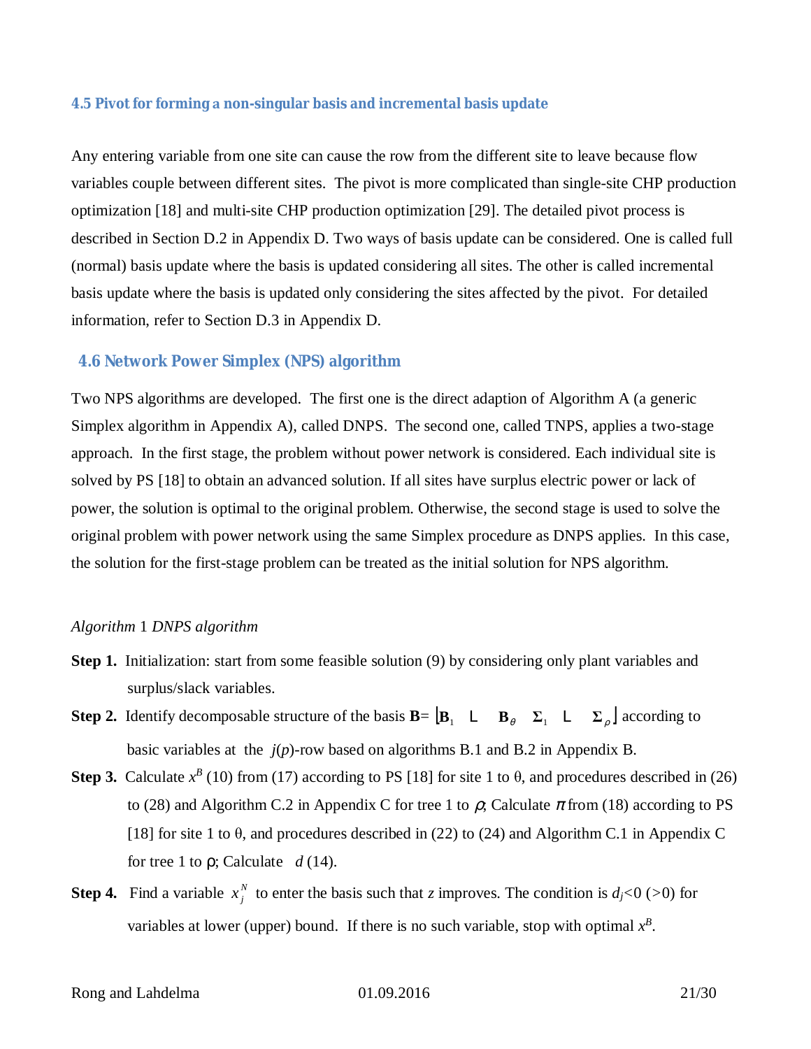#### **4.5 Pivot for forming a non-singular basis and incremental basis update**

Any entering variable from one site can cause the row from the different site to leave because flow variables couple between different sites. The pivot is more complicated than single-site CHP production optimization [18] and multi-site CHP production optimization [29]. The detailed pivot process is described in Section D.2 in Appendix D. Two ways of basis update can be considered. One is called full (normal) basis update where the basis is updated considering all sites. The other is called incremental basis update where the basis is updated only considering the sites affected by the pivot. For detailed information, refer to Section D.3 in Appendix D.

#### **4.6 Network Power Simplex (NPS) algorithm**

Two NPS algorithms are developed. The first one is the direct adaption of Algorithm A (a generic Simplex algorithm in Appendix A), called DNPS. The second one, called TNPS, applies a two-stage approach. In the first stage, the problem without power network is considered. Each individual site is solved by PS [18] to obtain an advanced solution. If all sites have surplus electric power or lack of power, the solution is optimal to the original problem. Otherwise, the second stage is used to solve the original problem with power network using the same Simplex procedure as DNPS applies. In this case, the solution for the first-stage problem can be treated as the initial solution for NPS algorithm.

#### *Algorithm* 1 *DNPS algorithm*

- **Step 1.** Initialization: start from some feasible solution (9) by considering only plant variables and surplus/slack variables.
- **Step 2.** Identify decomposable structure of the basis  $\mathbf{B} = [\mathbf{B}_1 \quad \Box \quad \mathbf{B}_q \quad \Sigma_1 \quad \Box \quad \Sigma_r]$  according to basic variables at the *j*(*p*)-row based on algorithms B.1 and B.2 in Appendix B.
- **Step 3.** Calculate  $x^B$  (10) from (17) according to PS [18] for site 1 to  $\theta$ , and procedures described in (26) to (28) and Algorithm C.2 in Appendix C for tree 1 to  $r$ ; Calculate  $\rho$  from (18) according to PS [18] for site 1 to  $\theta$ , and procedures described in (22) to (24) and Algorithm C.1 in Appendix C for tree 1 to  $\mathbf{r}$ ; Calculate  $d(14)$ .
- **Step 4.** Find a variable  $x_j^N$  to enter the basis such that *z* improves. The condition is  $d_j < 0$  (>0) for variables at lower (upper) bound. If there is no such variable, stop with optimal  $x^B$ .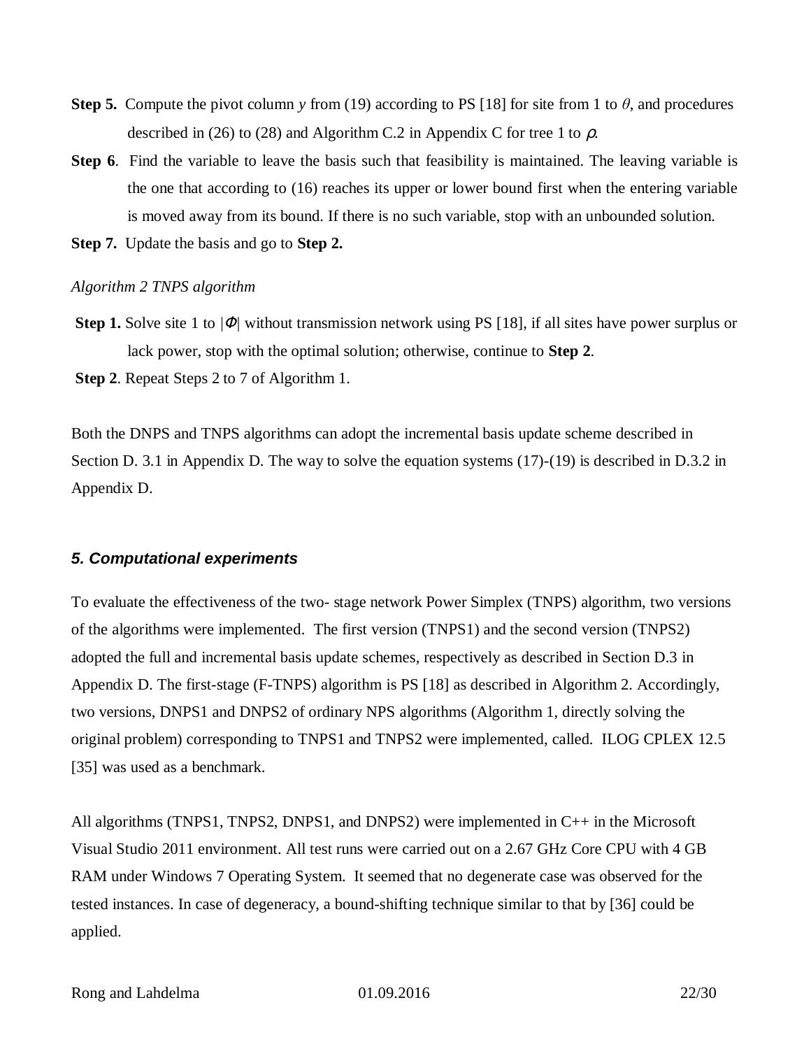- **Step 5.** Compute the pivot column *y* from (19) according to PS [18] for site from 1 to  $\theta$ , and procedures described in (26) to (28) and Algorithm C.2 in Appendix C for tree 1 to  $r$ .
- **Step 6.** Find the variable to leave the basis such that feasibility is maintained. The leaving variable is the one that according to (16) reaches its upper or lower bound first when the entering variable is moved away from its bound. If there is no such variable, stop with an unbounded solution.
- **Step 7.** Update the basis and go to **Step 2.**

#### *Algorithm 2 TNPS algorithm*

**Step 1.** Solve site 1 to  $|F|$  without transmission network using PS [18], if all sites have power surplus or lack power, stop with the optimal solution; otherwise, continue to **Step 2**.

**Step 2**. Repeat Steps 2 to 7 of Algorithm 1.

Both the DNPS and TNPS algorithms can adopt the incremental basis update scheme described in Section D. 3.1 in Appendix D. The way to solve the equation systems (17)-(19) is described in D.3.2 in Appendix D.

## *5. Computational experiments*

To evaluate the effectiveness of the two- stage network Power Simplex (TNPS) algorithm, two versions of the algorithms were implemented. The first version (TNPS1) and the second version (TNPS2) adopted the full and incremental basis update schemes, respectively as described in Section D.3 in Appendix D. The first-stage (F-TNPS) algorithm is PS [18] as described in Algorithm 2. Accordingly, two versions, DNPS1 and DNPS2 of ordinary NPS algorithms (Algorithm 1, directly solving the original problem) corresponding to TNPS1 and TNPS2 were implemented, called. ILOG CPLEX 12.5 [35] was used as a benchmark.

All algorithms (TNPS1, TNPS2, DNPS1, and DNPS2) were implemented in C++ in the Microsoft Visual Studio 2011 environment. All test runs were carried out on a 2.67 GHz Core CPU with 4 GB RAM under Windows 7 Operating System. It seemed that no degenerate case was observed for the tested instances. In case of degeneracy, a bound-shifting technique similar to that by [36] could be applied.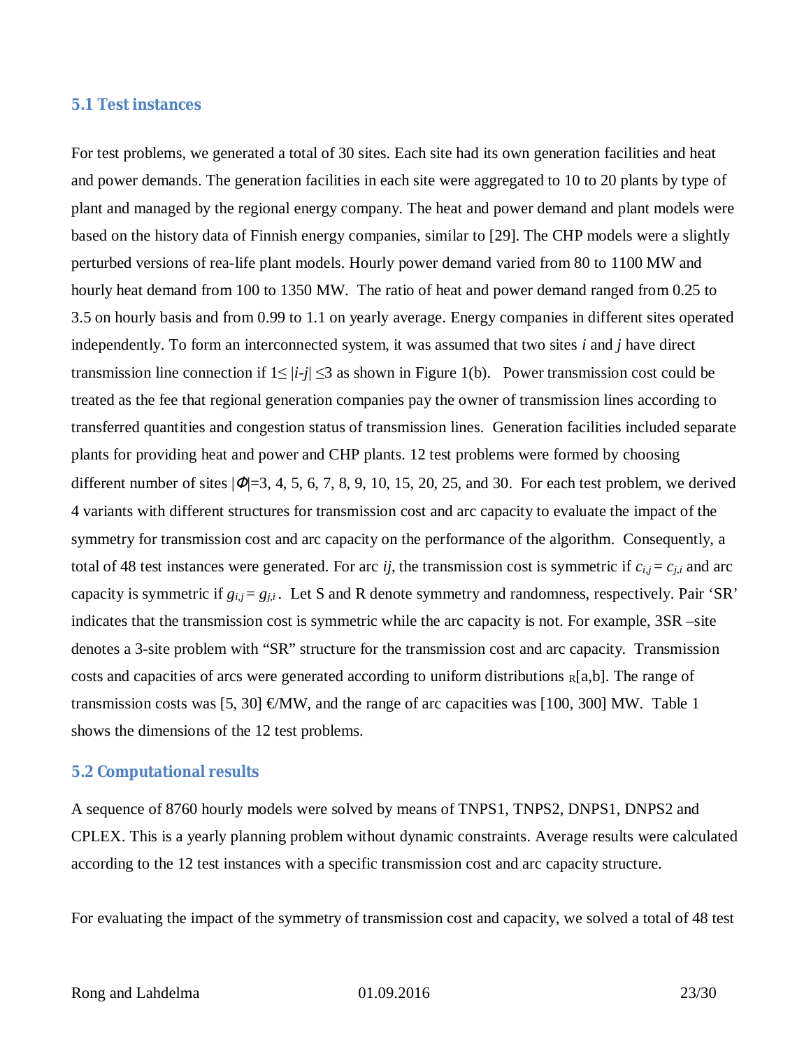## **5.1 Test instances**

For test problems, we generated a total of 30 sites. Each site had its own generation facilities and heat and power demands. The generation facilities in each site were aggregated to 10 to 20 plants by type of plant and managed by the regional energy company. The heat and power demand and plant models were based on the history data of Finnish energy companies, similar to [29]. The CHP models were a slightly perturbed versions of rea-life plant models. Hourly power demand varied from 80 to 1100 MW and hourly heat demand from 100 to 1350 MW. The ratio of heat and power demand ranged from 0.25 to 3.5 on hourly basis and from 0.99 to 1.1 on yearly average. Energy companies in different sites operated independently. To form an interconnected system, it was assumed that two sites *i* and *j* have direct transmission line connection if  $1 \le |i-j| \le 3$  as shown in Figure 1(b). Power transmission cost could be treated as the fee that regional generation companies pay the owner of transmission lines according to transferred quantities and congestion status of transmission lines. Generation facilities included separate plants for providing heat and power and CHP plants. 12 test problems were formed by choosing different number of sites  $|F|=3$ , 4, 5, 6, 7, 8, 9, 10, 15, 20, 25, and 30. For each test problem, we derived 4 variants with different structures for transmission cost and arc capacity to evaluate the impact of the symmetry for transmission cost and arc capacity on the performance of the algorithm. Consequently, a total of 48 test instances were generated. For arc *ij*, the transmission cost is symmetric if  $c_{i,j} = c_{j,i}$  and arc capacity is symmetric if  $g_{i,j} = g_{j,i}$ . Let S and R denote symmetry and randomness, respectively. Pair 'SR' indicates that the transmission cost is symmetric while the arc capacity is not. For example, 3SR –site denotes a 3-site problem with "SR" structure for the transmission cost and arc capacity. Transmission costs and capacities of arcs were generated according to uniform distributions  $R[a,b]$ . The range of transmission costs was [5, 30]  $\epsilon$ MW, and the range of arc capacities was [100, 300] MW. Table 1 shows the dimensions of the 12 test problems.

## **5.2 Computational results**

A sequence of 8760 hourly models were solved by means of TNPS1, TNPS2, DNPS1, DNPS2 and CPLEX. This is a yearly planning problem without dynamic constraints. Average results were calculated according to the 12 test instances with a specific transmission cost and arc capacity structure.

For evaluating the impact of the symmetry of transmission cost and capacity, we solved a total of 48 test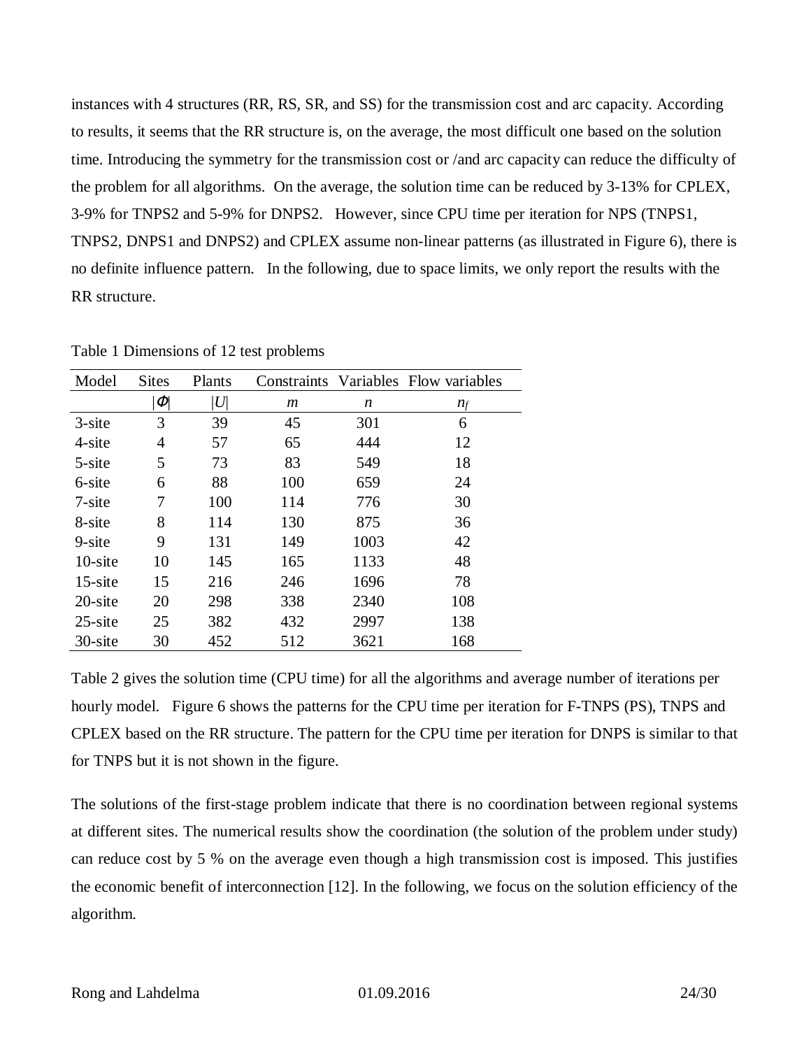instances with 4 structures (RR, RS, SR, and SS) for the transmission cost and arc capacity. According to results, it seems that the RR structure is, on the average, the most difficult one based on the solution time. Introducing the symmetry for the transmission cost or /and arc capacity can reduce the difficulty of the problem for all algorithms. On the average, the solution time can be reduced by 3-13% for CPLEX, 3-9% for TNPS2 and 5-9% for DNPS2. However, since CPU time per iteration for NPS (TNPS1, TNPS2, DNPS1 and DNPS2) and CPLEX assume non-linear patterns (as illustrated in Figure 6), there is no definite influence pattern. In the following, due to space limits, we only report the results with the RR structure.

| Model      | <b>Sites</b>  | Plants   |     |      | Constraints Variables Flow variables |
|------------|---------------|----------|-----|------|--------------------------------------|
|            | $\mathcal{F}$ | $U\vert$ | m   | n    | $n_f$                                |
| $3$ -site  | 3             | 39       | 45  | 301  | 6                                    |
| 4-site     | 4             | 57       | 65  | 444  | 12                                   |
| 5-site     | 5             | 73       | 83  | 549  | 18                                   |
| 6-site     | 6             | 88       | 100 | 659  | 24                                   |
| $7$ -site  | 7             | 100      | 114 | 776  | 30                                   |
| 8-site     | 8             | 114      | 130 | 875  | 36                                   |
| $9 - site$ | 9             | 131      | 149 | 1003 | 42                                   |
| $10$ -site | 10            | 145      | 165 | 1133 | 48                                   |
| $15$ -site | 15            | 216      | 246 | 1696 | 78                                   |
| 20-site    | 20            | 298      | 338 | 2340 | 108                                  |
| $25$ -site | 25            | 382      | 432 | 2997 | 138                                  |
| 30-site    | 30            | 452      | 512 | 3621 | 168                                  |

Table 1 Dimensions of 12 test problems

Table 2 gives the solution time (CPU time) for all the algorithms and average number of iterations per hourly model. Figure 6 shows the patterns for the CPU time per iteration for F-TNPS (PS), TNPS and CPLEX based on the RR structure. The pattern for the CPU time per iteration for DNPS is similar to that for TNPS but it is not shown in the figure.

The solutions of the first-stage problem indicate that there is no coordination between regional systems at different sites. The numerical results show the coordination (the solution of the problem under study) can reduce cost by 5 % on the average even though a high transmission cost is imposed. This justifies the economic benefit of interconnection [12]. In the following, we focus on the solution efficiency of the algorithm.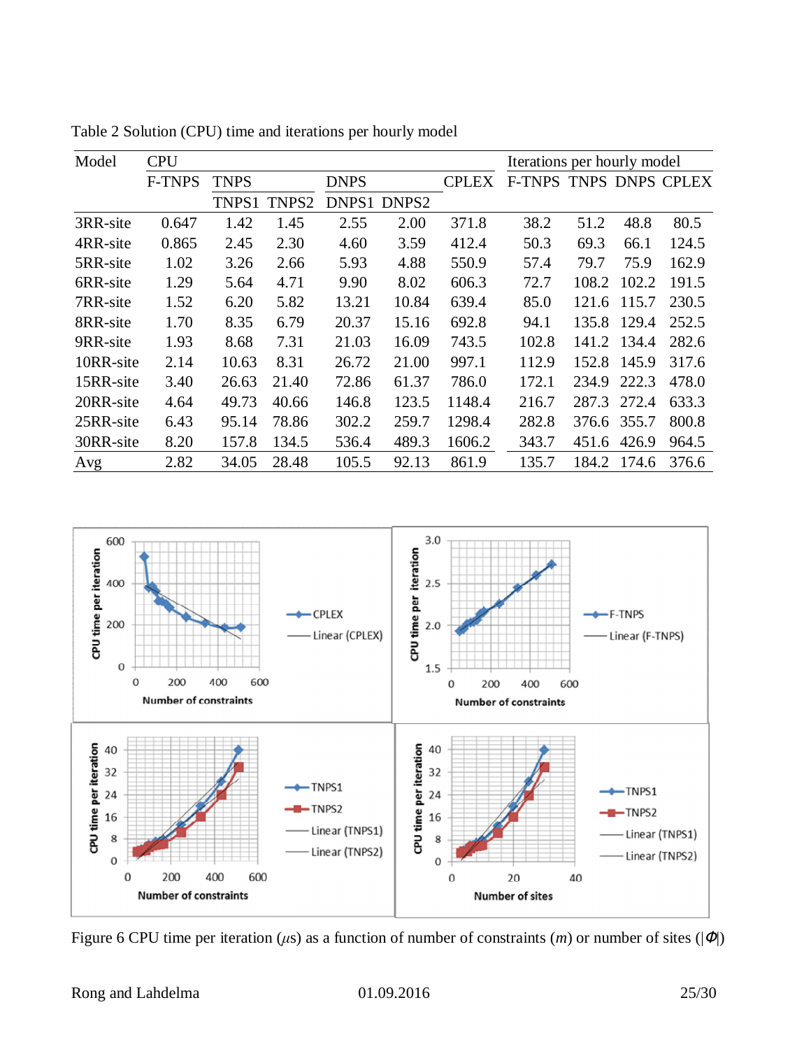| Model     | <b>CPU</b>    |             |       |             |                   |              | Iterations per hourly model |       |       |                 |
|-----------|---------------|-------------|-------|-------------|-------------------|--------------|-----------------------------|-------|-------|-----------------|
|           | <b>F-TNPS</b> | <b>TNPS</b> |       | <b>DNPS</b> |                   | <b>CPLEX</b> | <b>F-TNPS</b>               |       |       | TNPS DNPS CPLEX |
|           |               | TNPS1       | TNPS2 | DNPS1       | DNPS <sub>2</sub> |              |                             |       |       |                 |
| 3RR-site  | 0.647         | 1.42        | 1.45  | 2.55        | 2.00              | 371.8        | 38.2                        | 51.2  | 48.8  | 80.5            |
| 4RR-site  | 0.865         | 2.45        | 2.30  | 4.60        | 3.59              | 412.4        | 50.3                        | 69.3  | 66.1  | 124.5           |
| 5RR-site  | 1.02          | 3.26        | 2.66  | 5.93        | 4.88              | 550.9        | 57.4                        | 79.7  | 75.9  | 162.9           |
| 6RR-site  | 1.29          | 5.64        | 4.71  | 9.90        | 8.02              | 606.3        | 72.7                        | 108.2 | 102.2 | 191.5           |
| 7RR-site  | 1.52          | 6.20        | 5.82  | 13.21       | 10.84             | 639.4        | 85.0                        | 121.6 | 115.7 | 230.5           |
| 8RR-site  | 1.70          | 8.35        | 6.79  | 20.37       | 15.16             | 692.8        | 94.1                        | 135.8 | 129.4 | 252.5           |
| 9RR-site  | 1.93          | 8.68        | 7.31  | 21.03       | 16.09             | 743.5        | 102.8                       | 141.2 | 134.4 | 282.6           |
| 10RR-site | 2.14          | 10.63       | 8.31  | 26.72       | 21.00             | 997.1        | 112.9                       | 152.8 | 145.9 | 317.6           |
| 15RR-site | 3.40          | 26.63       | 21.40 | 72.86       | 61.37             | 786.0        | 172.1                       | 234.9 | 222.3 | 478.0           |
| 20RR-site | 4.64          | 49.73       | 40.66 | 146.8       | 123.5             | 1148.4       | 216.7                       | 287.3 | 272.4 | 633.3           |
| 25RR-site | 6.43          | 95.14       | 78.86 | 302.2       | 259.7             | 1298.4       | 282.8                       | 376.6 | 355.7 | 800.8           |
| 30RR-site | 8.20          | 157.8       | 134.5 | 536.4       | 489.3             | 1606.2       | 343.7                       | 451.6 | 426.9 | 964.5           |
| Avg       | 2.82          | 34.05       | 28.48 | 105.5       | 92.13             | 861.9        | 135.7                       | 184.2 | 174.6 | 376.6           |

Table 2 Solution (CPU) time and iterations per hourly model



Figure 6 CPU time per iteration ( $\mu$ s) as a function of number of constraints ( $m$ ) or number of sites ( $|F|$ )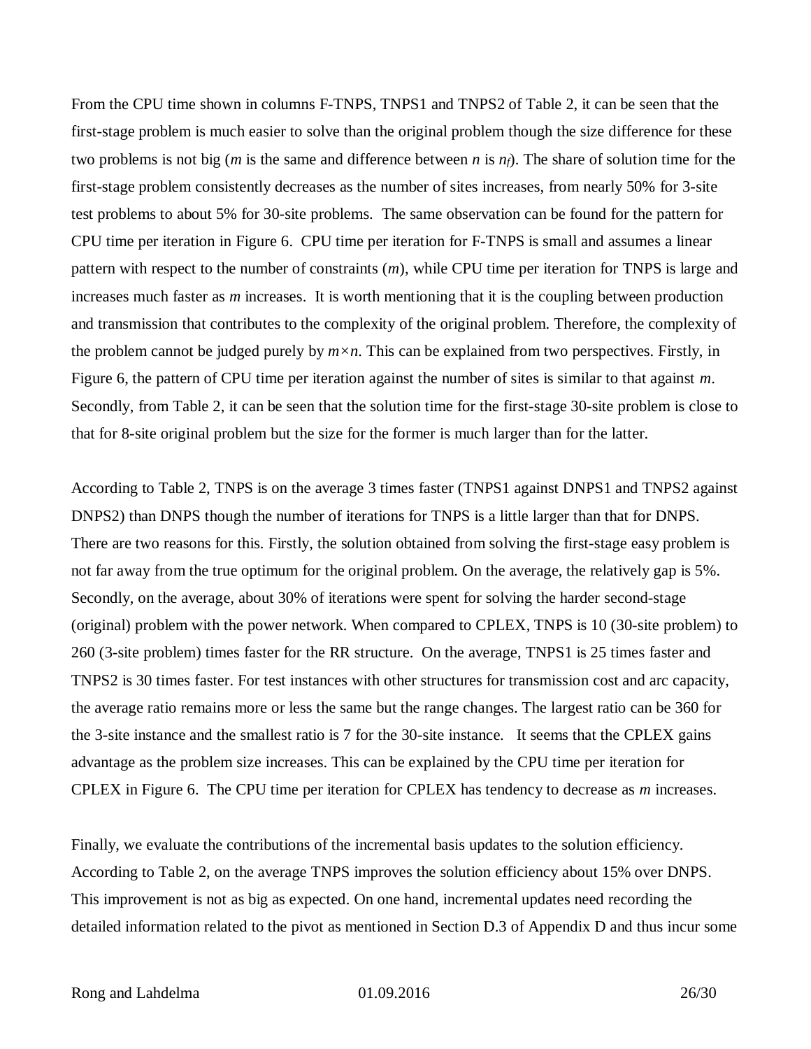From the CPU time shown in columns F-TNPS, TNPS1 and TNPS2 of Table 2, it can be seen that the first-stage problem is much easier to solve than the original problem though the size difference for these two problems is not big (*m* is the same and difference between *n* is *nf*). The share of solution time for the first-stage problem consistently decreases as the number of sites increases, from nearly 50% for 3-site test problems to about 5% for 30-site problems. The same observation can be found for the pattern for CPU time per iteration in Figure 6. CPU time per iteration for F-TNPS is small and assumes a linear pattern with respect to the number of constraints (*m*), while CPU time per iteration for TNPS is large and increases much faster as *m* increases. It is worth mentioning that it is the coupling between production and transmission that contributes to the complexity of the original problem. Therefore, the complexity of the problem cannot be judged purely by  $m \times n$ . This can be explained from two perspectives. Firstly, in Figure 6, the pattern of CPU time per iteration against the number of sites is similar to that against *m*. Secondly, from Table 2, it can be seen that the solution time for the first-stage 30-site problem is close to that for 8-site original problem but the size for the former is much larger than for the latter.

According to Table 2, TNPS is on the average 3 times faster (TNPS1 against DNPS1 and TNPS2 against DNPS2) than DNPS though the number of iterations for TNPS is a little larger than that for DNPS. There are two reasons for this. Firstly, the solution obtained from solving the first-stage easy problem is not far away from the true optimum for the original problem. On the average, the relatively gap is 5%. Secondly, on the average, about 30% of iterations were spent for solving the harder second-stage (original) problem with the power network. When compared to CPLEX, TNPS is 10 (30-site problem) to 260 (3-site problem) times faster for the RR structure. On the average, TNPS1 is 25 times faster and TNPS2 is 30 times faster. For test instances with other structures for transmission cost and arc capacity, the average ratio remains more or less the same but the range changes. The largest ratio can be 360 for the 3-site instance and the smallest ratio is 7 for the 30-site instance. It seems that the CPLEX gains advantage as the problem size increases. This can be explained by the CPU time per iteration for CPLEX in Figure 6. The CPU time per iteration for CPLEX has tendency to decrease as *m* increases.

Finally, we evaluate the contributions of the incremental basis updates to the solution efficiency. According to Table 2, on the average TNPS improves the solution efficiency about 15% over DNPS. This improvement is not as big as expected. On one hand, incremental updates need recording the detailed information related to the pivot as mentioned in Section D.3 of Appendix D and thus incur some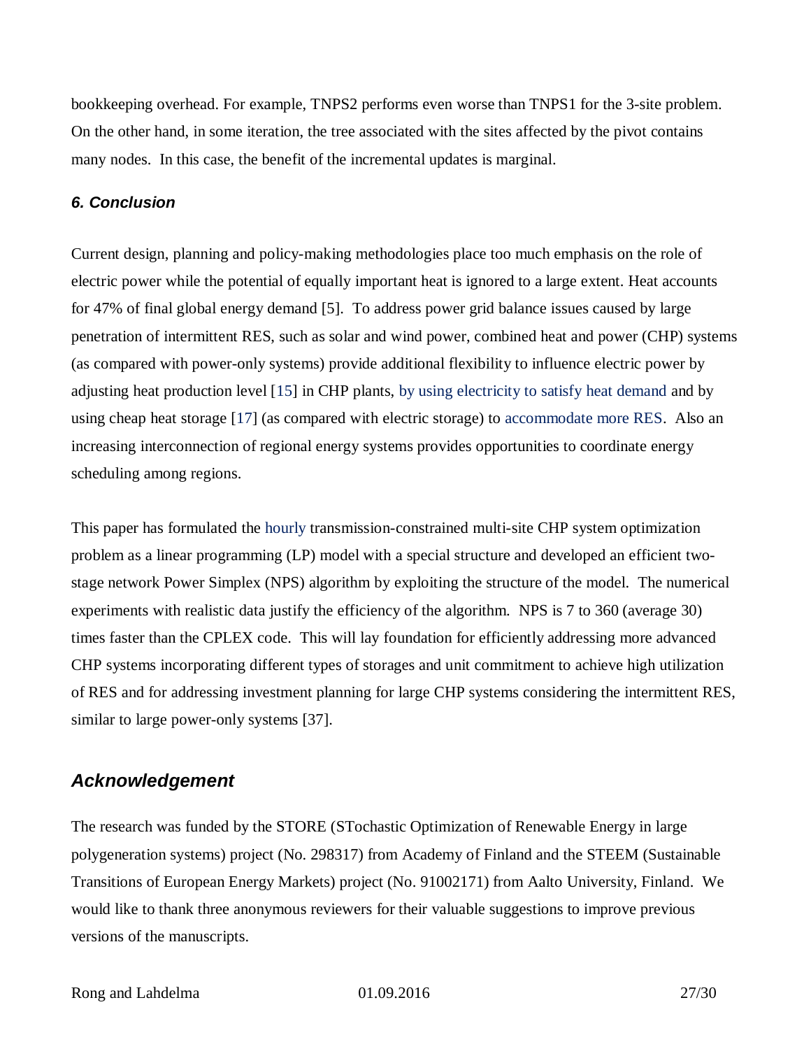bookkeeping overhead. For example, TNPS2 performs even worse than TNPS1 for the 3-site problem. On the other hand, in some iteration, the tree associated with the sites affected by the pivot contains many nodes. In this case, the benefit of the incremental updates is marginal.

## *6. Conclusion*

Current design, planning and policy-making methodologies place too much emphasis on the role of electric power while the potential of equally important heat is ignored to a large extent. Heat accounts for 47% of final global energy demand [5]. To address power grid balance issues caused by large penetration of intermittent RES, such as solar and wind power, combined heat and power (CHP) systems (as compared with power-only systems) provide additional flexibility to influence electric power by adjusting heat production level [15] in CHP plants, by using electricity to satisfy heat demand and by using cheap heat storage [17] (as compared with electric storage) to accommodate more RES. Also an increasing interconnection of regional energy systems provides opportunities to coordinate energy scheduling among regions.

This paper has formulated the hourly transmission-constrained multi-site CHP system optimization problem as a linear programming (LP) model with a special structure and developed an efficient twostage network Power Simplex (NPS) algorithm by exploiting the structure of the model. The numerical experiments with realistic data justify the efficiency of the algorithm. NPS is 7 to 360 (average 30) times faster than the CPLEX code. This will lay foundation for efficiently addressing more advanced CHP systems incorporating different types of storages and unit commitment to achieve high utilization of RES and for addressing investment planning for large CHP systems considering the intermittent RES, similar to large power-only systems [37].

## *Acknowledgement*

The research was funded by the STORE (STochastic Optimization of Renewable Energy in large polygeneration systems) project (No. 298317) from Academy of Finland and the STEEM (Sustainable Transitions of European Energy Markets) project (No. 91002171) from Aalto University, Finland. We would like to thank three anonymous reviewers for their valuable suggestions to improve previous versions of the manuscripts.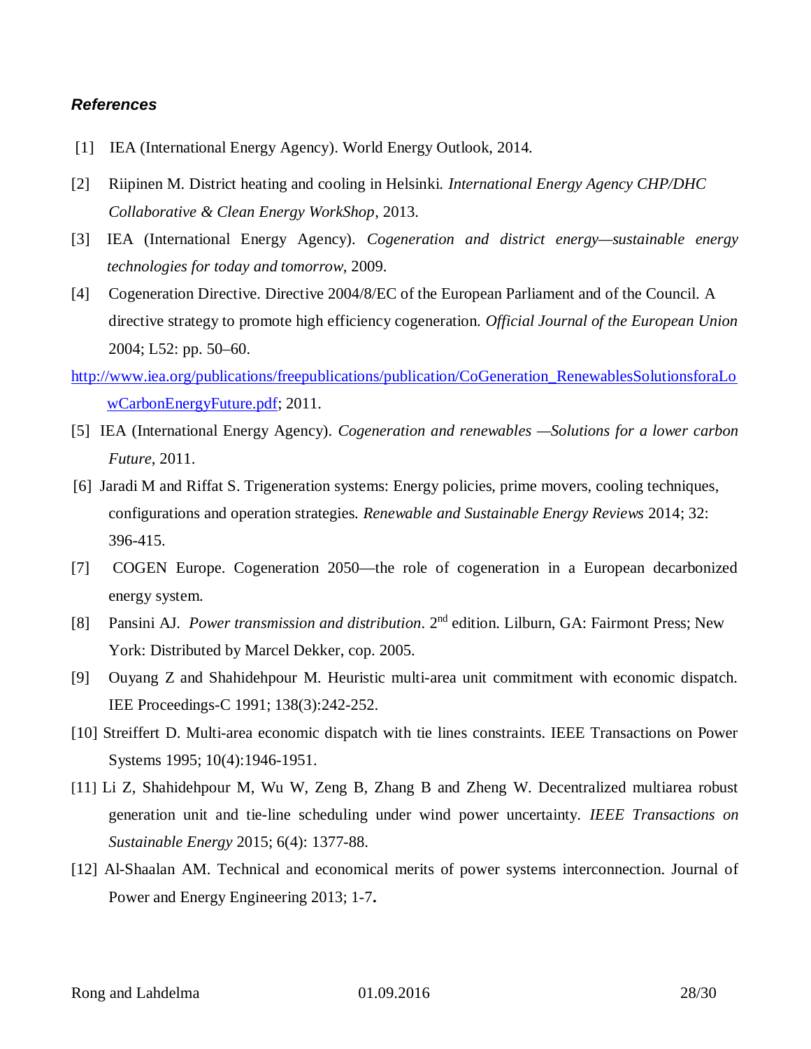#### *References*

- [1] IEA (International Energy Agency). World Energy Outlook, 2014.
- [2] Riipinen M. District heating and cooling in Helsinki. *International Energy Agency CHP/DHC Collaborative & Clean Energy WorkShop*, 2013.
- [3] IEA (International Energy Agency). *Cogeneration and district energy—sustainable energy technologies for today and tomorrow*, 2009.
- [4] Cogeneration Directive. Directive 2004/8/EC of the European Parliament and of the Council. A directive strategy to promote high efficiency cogeneration. *Official Journal of the European Union* 2004; L52: pp. 50–60.
- [http://www.iea.org/publications/freepublications/publication/CoGeneration\\_RenewablesSolutionsforaLo](http://www.iea.org/publications/freepublications/publication/CoGeneration_RenewablesSolutionsforaLowCarbonEnergyFuture.pdf) [wCarbonEnergyFuture.pdf;](http://www.iea.org/publications/freepublications/publication/CoGeneration_RenewablesSolutionsforaLowCarbonEnergyFuture.pdf) 2011.
- [5] IEA (International Energy Agency). *Cogeneration and renewables —Solutions for a lower carbon Future*, 2011.
- [6] Jaradi M and Riffat S. Trigeneration systems: Energy policies, prime movers, cooling techniques, configurations and operation strategies. *Renewable and Sustainable Energy Reviews* 2014; 32: 396-415.
- [7] COGEN Europe. Cogeneration 2050—the role of cogeneration in a European decarbonized energy system.
- [8] Pansini AJ. *Power transmission and distribution*. 2nd edition. Lilburn, GA: Fairmont Press; New York: Distributed by Marcel Dekker, cop. 2005.
- [9] Ouyang Z and Shahidehpour M. Heuristic multi-area unit commitment with economic dispatch. IEE Proceedings-C 1991; 138(3):242-252.
- [10] Streiffert D. Multi-area economic dispatch with tie lines constraints. IEEE Transactions on Power Systems 1995; 10(4):1946-1951.
- [11] Li Z, Shahidehpour M, Wu W, Zeng B, Zhang B and Zheng W. Decentralized multiarea robust generation unit and tie-line scheduling under wind power uncertainty. *IEEE Transactions on Sustainable Energy* 2015; 6(4): 1377-88.
- [12] Al-Shaalan AM. Technical and economical merits of power systems interconnection. Journal of Power and Energy Engineering 2013; 1-7**.**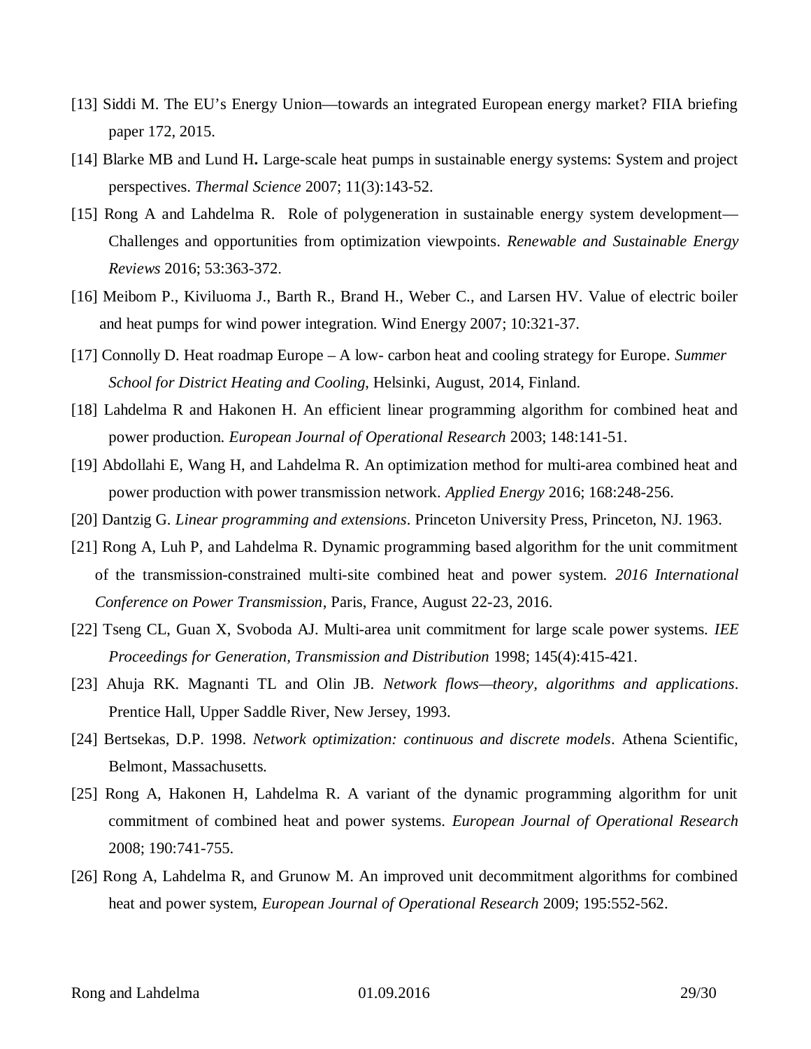- [13] Siddi M. The EU's Energy Union—towards an integrated European energy market? FIIA briefing paper 172, 2015.
- [14] Blarke MB and Lund H**.** Large-scale heat pumps in sustainable energy systems: System and project perspectives. *Thermal Science* 2007; 11(3):143-52.
- [15] Rong A and Lahdelma R. Role of polygeneration in sustainable energy system development— Challenges and opportunities from optimization viewpoints. *Renewable and Sustainable Energy Reviews* 2016; 53:363-372.
- [16] Meibom P., Kiviluoma J., Barth R., Brand H., Weber C., and Larsen HV. Value of electric boiler and heat pumps for wind power integration. Wind Energy 2007; 10:321-37.
- [17] Connolly D. Heat roadmap Europe A low- carbon heat and cooling strategy for Europe. *Summer School for District Heating and Cooling*, Helsinki, August, 2014, Finland.
- [18] Lahdelma R and Hakonen H. An efficient linear programming algorithm for combined heat and power production. *European Journal of Operational Research* 2003; 148:141-51.
- [19] Abdollahi E, Wang H, and Lahdelma R. An optimization method for multi-area combined heat and power production with power transmission network. *Applied Energy* 2016; 168:248-256.
- [20] Dantzig G. *Linear programming and extensions*. Princeton University Press, Princeton, NJ. 1963.
- [21] Rong A, Luh P, and Lahdelma R. Dynamic programming based algorithm for the unit commitment of the transmission-constrained multi-site combined heat and power system. *2016 International Conference on Power Transmission*, Paris, France, August 22-23, 2016.
- [22] Tseng CL, Guan X, Svoboda AJ. Multi-area unit commitment for large scale power systems. *IEE Proceedings for Generation, Transmission and Distribution* 1998; 145(4):415-421.
- [23] Ahuja RK. Magnanti TL and Olin JB. *Network flows—theory, algorithms and applications*. Prentice Hall, Upper Saddle River, New Jersey, 1993.
- [24] Bertsekas, D.P. 1998. *Network optimization: continuous and discrete models*. Athena Scientific, Belmont, Massachusetts.
- [25] Rong A, Hakonen H, Lahdelma R. A variant of the dynamic programming algorithm for unit commitment of combined heat and power systems. *European Journal of Operational Research* 2008; 190:741-755.
- [26] Rong A, Lahdelma R, and Grunow M. An improved unit decommitment algorithms for combined heat and power system, *European Journal of Operational Research* 2009; 195:552-562.